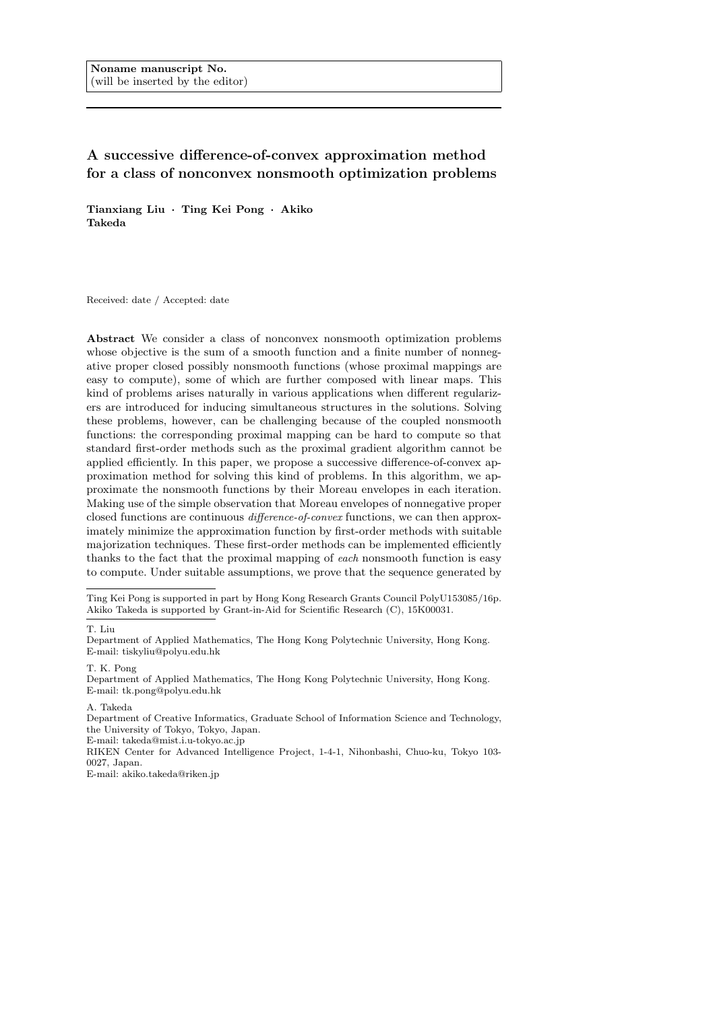Noname manuscript No. (will be inserted by the editor)

# A successive difference-of-convex approximation method for a class of nonconvex nonsmooth optimization problems

Tianxiang Liu · Ting Kei Pong · Akiko Takeda

Received: date / Accepted: date

Abstract We consider a class of nonconvex nonsmooth optimization problems whose objective is the sum of a smooth function and a finite number of nonnegative proper closed possibly nonsmooth functions (whose proximal mappings are easy to compute), some of which are further composed with linear maps. This kind of problems arises naturally in various applications when different regularizers are introduced for inducing simultaneous structures in the solutions. Solving these problems, however, can be challenging because of the coupled nonsmooth functions: the corresponding proximal mapping can be hard to compute so that standard first-order methods such as the proximal gradient algorithm cannot be applied efficiently. In this paper, we propose a successive difference-of-convex approximation method for solving this kind of problems. In this algorithm, we approximate the nonsmooth functions by their Moreau envelopes in each iteration. Making use of the simple observation that Moreau envelopes of nonnegative proper closed functions are continuous difference-of-convex functions, we can then approximately minimize the approximation function by first-order methods with suitable majorization techniques. These first-order methods can be implemented efficiently thanks to the fact that the proximal mapping of each nonsmooth function is easy to compute. Under suitable assumptions, we prove that the sequence generated by

E-mail: takeda@mist.i.u-tokyo.ac.jp

RIKEN Center for Advanced Intelligence Project, 1-4-1, Nihonbashi, Chuo-ku, Tokyo 103- 0027, Japan.

E-mail: akiko.takeda@riken.jp

Ting Kei Pong is supported in part by Hong Kong Research Grants Council PolyU153085/16p. Akiko Takeda is supported by Grant-in-Aid for Scientific Research (C), 15K00031.

T. Liu

Department of Applied Mathematics, The Hong Kong Polytechnic University, Hong Kong. E-mail: tiskyliu@polyu.edu.hk

T. K. Pong Department of Applied Mathematics, The Hong Kong Polytechnic University, Hong Kong.

E-mail: tk.pong@polyu.edu.hk

A. Takeda

Department of Creative Informatics, Graduate School of Information Science and Technology, the University of Tokyo, Tokyo, Japan.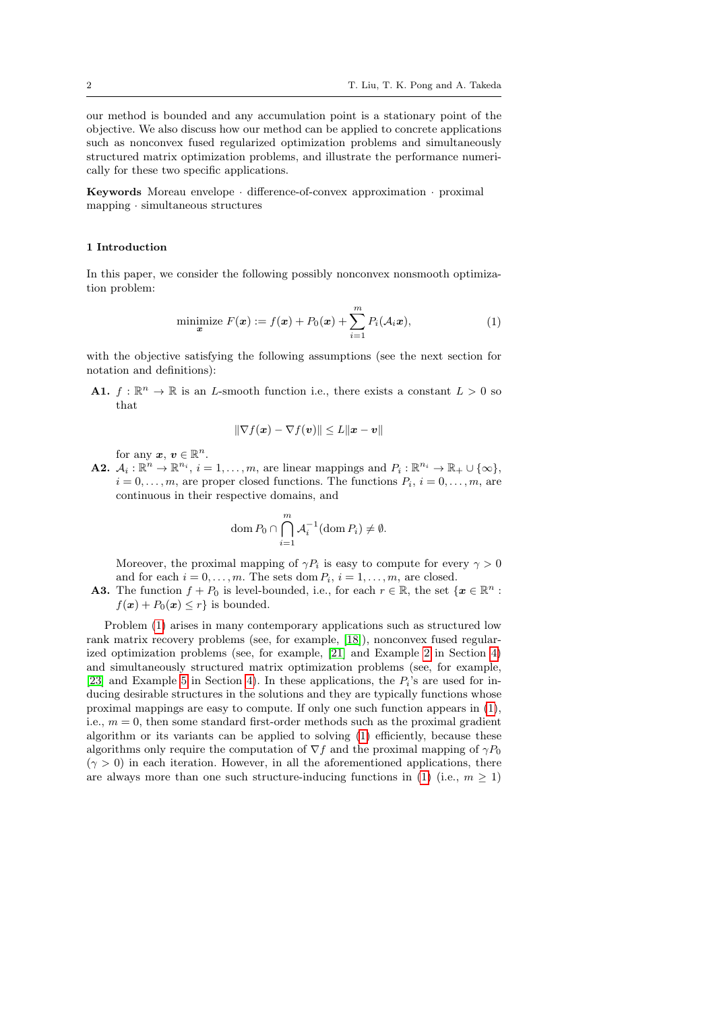our method is bounded and any accumulation point is a stationary point of the objective. We also discuss how our method can be applied to concrete applications such as nonconvex fused regularized optimization problems and simultaneously structured matrix optimization problems, and illustrate the performance numerically for these two specific applications.

Keywords Moreau envelope · difference-of-convex approximation · proximal mapping · simultaneous structures

#### <span id="page-1-1"></span>1 Introduction

In this paper, we consider the following possibly nonconvex nonsmooth optimization problem:

<span id="page-1-0"></span>minimize 
$$
F(\boldsymbol{x}) := f(\boldsymbol{x}) + P_0(\boldsymbol{x}) + \sum_{i=1}^{m} P_i(\mathcal{A}_i \boldsymbol{x}),
$$
 (1)

with the objective satisfying the following assumptions (see the next section for notation and definitions):

**A1.**  $f: \mathbb{R}^n \to \mathbb{R}$  is an L-smooth function i.e., there exists a constant  $L > 0$  so that

$$
\|\nabla f(\boldsymbol{x}) - \nabla f(\boldsymbol{v})\| \leq L \|\boldsymbol{x} - \boldsymbol{v}\|
$$

for any  $x, v \in \mathbb{R}^n$ .

**A2.**  $\mathcal{A}_i : \mathbb{R}^n \to \mathbb{R}^{n_i}$ ,  $i = 1, ..., m$ , are linear mappings and  $P_i : \mathbb{R}^{n_i} \to \mathbb{R}_+ \cup \{\infty\}$ ,  $i = 0, \ldots, m$ , are proper closed functions. The functions  $P_i, i = 0, \ldots, m$ , are continuous in their respective domains, and

$$
\operatorname{dom} P_0 \cap \bigcap_{i=1}^m \mathcal{A}_i^{-1}(\operatorname{dom} P_i) \neq \emptyset.
$$

Moreover, the proximal mapping of  $\gamma P_i$  is easy to compute for every  $\gamma > 0$ and for each  $i = 0, \ldots, m$ . The sets dom  $P_i$ ,  $i = 1, \ldots, m$ , are closed.

**A3.** The function  $f + P_0$  is level-bounded, i.e., for each  $r \in \mathbb{R}$ , the set  $\{x \in \mathbb{R}^n :$  $f(\mathbf{x}) + P_0(\mathbf{x}) \leq r$  is bounded.

Problem [\(1\)](#page-1-0) arises in many contemporary applications such as structured low rank matrix recovery problems (see, for example, [\[18\]](#page-23-0)), nonconvex fused regularized optimization problems (see, for example, [\[21\]](#page-23-1) and Example [2](#page-13-0) in Section [4\)](#page-11-0) and simultaneously structured matrix optimization problems (see, for example, [\[23\]](#page-23-2) and Example [5](#page-17-0) in Section [4\)](#page-11-0). In these applications, the  $P_i$ 's are used for inducing desirable structures in the solutions and they are typically functions whose proximal mappings are easy to compute. If only one such function appears in [\(1\)](#page-1-0), i.e.,  $m = 0$ , then some standard first-order methods such as the proximal gradient algorithm or its variants can be applied to solving [\(1\)](#page-1-0) efficiently, because these algorithms only require the computation of  $\nabla f$  and the proximal mapping of  $\gamma P_0$  $(\gamma > 0)$  in each iteration. However, in all the aforementioned applications, there are always more than one such structure-inducing functions in [\(1\)](#page-1-0) (i.e.,  $m \geq 1$ )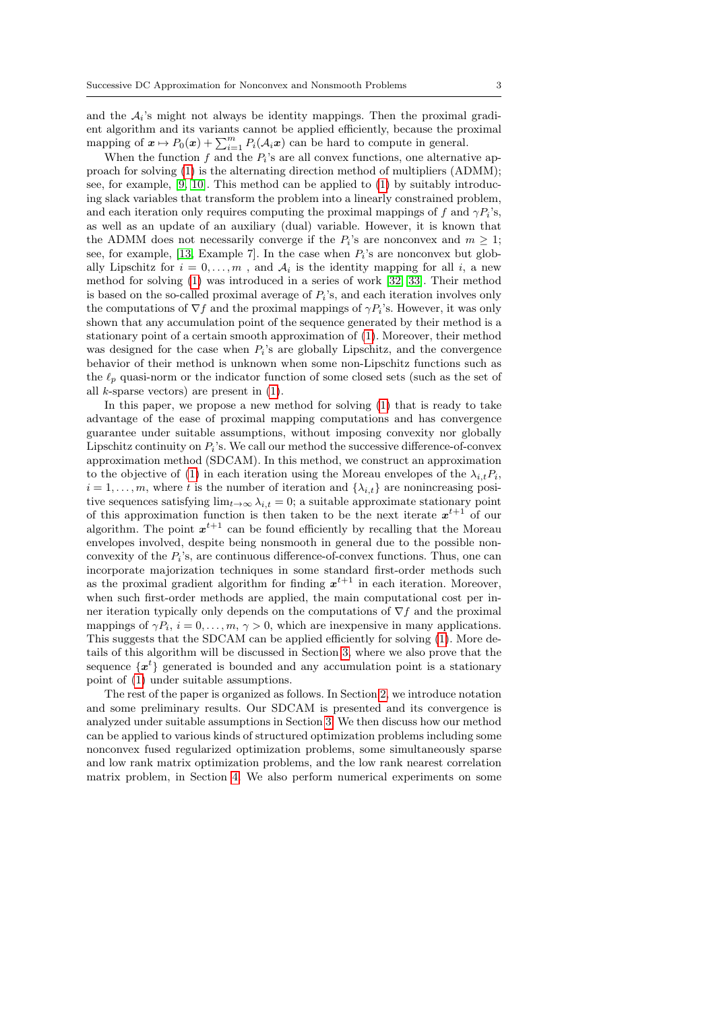and the  $A_i$ 's might not always be identity mappings. Then the proximal gradient algorithm and its variants cannot be applied efficiently, because the proximal mapping of  $\mathbf{x} \mapsto P_0(\mathbf{x}) + \sum_{i=1}^m P_i(\mathcal{A}_i \mathbf{x})$  can be hard to compute in general.

When the function  $f$  and the  $P_i$ 's are all convex functions, one alternative approach for solving [\(1\)](#page-1-0) is the alternating direction method of multipliers (ADMM); see, for example, [\[9,](#page-23-3) [10\]](#page-23-4). This method can be applied to [\(1\)](#page-1-0) by suitably introducing slack variables that transform the problem into a linearly constrained problem, and each iteration only requires computing the proximal mappings of f and  $\gamma P_i$ 's, as well as an update of an auxiliary (dual) variable. However, it is known that the ADMM does not necessarily converge if the  $P_i$ 's are nonconvex and  $m \geq 1$ ; see, for example, [\[13,](#page-23-5) Example 7]. In the case when  $P_i$ 's are nonconvex but globally Lipschitz for  $i = 0, \ldots, m$ , and  $A_i$  is the identity mapping for all i, a new method for solving [\(1\)](#page-1-0) was introduced in a series of work [\[32,](#page-24-0) [33\]](#page-24-1). Their method is based on the so-called proximal average of  $P_i$ 's, and each iteration involves only the computations of  $\nabla f$  and the proximal mappings of  $\gamma P_i$ 's. However, it was only shown that any accumulation point of the sequence generated by their method is a stationary point of a certain smooth approximation of [\(1\)](#page-1-0). Moreover, their method was designed for the case when  $P_i$ 's are globally Lipschitz, and the convergence behavior of their method is unknown when some non-Lipschitz functions such as the  $\ell_p$  quasi-norm or the indicator function of some closed sets (such as the set of all  $k$ -sparse vectors) are present in  $(1)$ .

In this paper, we propose a new method for solving [\(1\)](#page-1-0) that is ready to take advantage of the ease of proximal mapping computations and has convergence guarantee under suitable assumptions, without imposing convexity nor globally Lipschitz continuity on  $P_i$ 's. We call our method the successive difference-of-convex approximation method (SDCAM). In this method, we construct an approximation to the objective of [\(1\)](#page-1-0) in each iteration using the Moreau envelopes of the  $\lambda_{i,t}P_i$ ,  $i = 1, \ldots, m$ , where t is the number of iteration and  $\{\lambda_{i,t}\}\$ are nonincreasing positive sequences satisfying  $\lim_{t\to\infty}\lambda_{i,t}=0$ ; a suitable approximate stationary point of this approximation function is then taken to be the next iterate  $x^{t+1}$  of our algorithm. The point  $x^{t+1}$  can be found efficiently by recalling that the Moreau envelopes involved, despite being nonsmooth in general due to the possible nonconvexity of the  $P_i$ 's, are continuous difference-of-convex functions. Thus, one can incorporate majorization techniques in some standard first-order methods such as the proximal gradient algorithm for finding  $x^{t+1}$  in each iteration. Moreover, when such first-order methods are applied, the main computational cost per inner iteration typically only depends on the computations of  $\nabla f$  and the proximal mappings of  $\gamma P_i$ ,  $i = 0, \ldots, m, \gamma > 0$ , which are inexpensive in many applications. This suggests that the SDCAM can be applied efficiently for solving [\(1\)](#page-1-0). More details of this algorithm will be discussed in Section [3,](#page-4-0) where we also prove that the sequence  $\{x^{t}\}\$ generated is bounded and any accumulation point is a stationary point of [\(1\)](#page-1-0) under suitable assumptions.

The rest of the paper is organized as follows. In Section [2,](#page-3-0) we introduce notation and some preliminary results. Our SDCAM is presented and its convergence is analyzed under suitable assumptions in Section [3.](#page-4-0) We then discuss how our method can be applied to various kinds of structured optimization problems including some nonconvex fused regularized optimization problems, some simultaneously sparse and low rank matrix optimization problems, and the low rank nearest correlation matrix problem, in Section [4.](#page-11-0) We also perform numerical experiments on some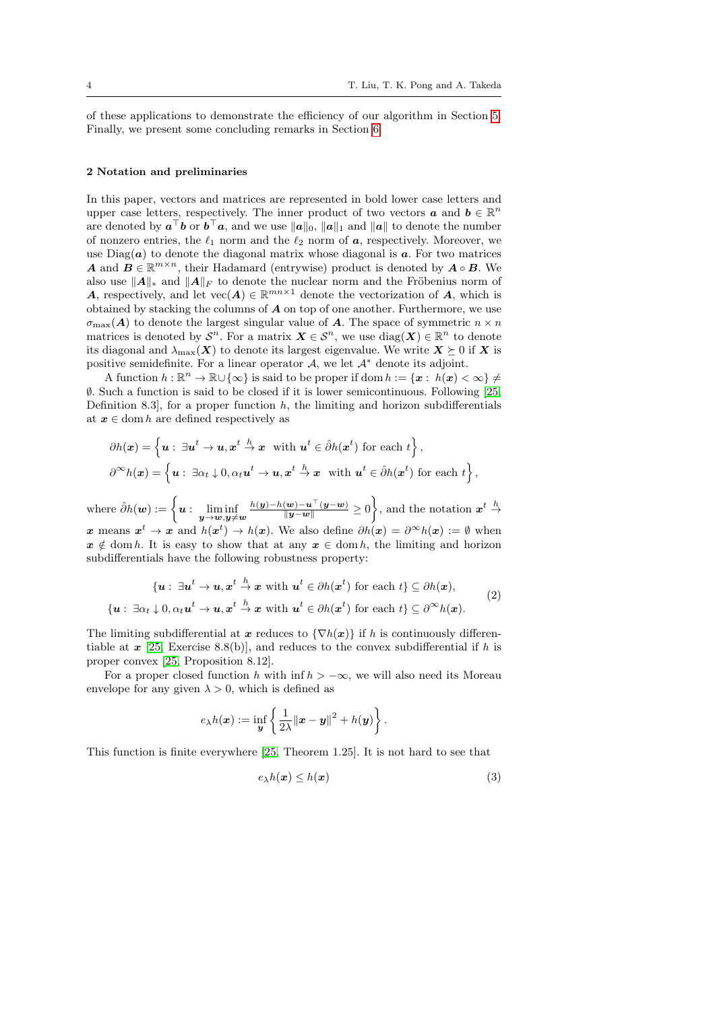of these applications to demonstrate the efficiency of our algorithm in Section [5.](#page-17-1) Finally, we present some concluding remarks in Section [6.](#page-21-0)

#### <span id="page-3-0"></span>2 Notation and preliminaries

In this paper, vectors and matrices are represented in bold lower case letters and upper case letters, respectively. The inner product of two vectors  $\boldsymbol{a}$  and  $\boldsymbol{b} \in \mathbb{R}^n$ are denoted by  $a^{\top}b$  or  $b^{\top}a$ , and we use  $||a||_0$ ,  $||a||_1$  and  $||a||$  to denote the number of nonzero entries, the  $\ell_1$  norm and the  $\ell_2$  norm of  $\boldsymbol{a}$ , respectively. Moreover, we use  $Diag(a)$  to denote the diagonal matrix whose diagonal is  $a$ . For two matrices **A** and  $\mathbf{B} \in \mathbb{R}^{m \times n}$ , their Hadamard (entrywise) product is denoted by  $\mathbf{A} \circ \mathbf{B}$ . We also use  $||A||_*$  and  $||A||_F$  to denote the nuclear norm and the Fröbenius norm of **A**, respectively, and let  $\text{vec}(\mathbf{A}) \in \mathbb{R}^{mn \times 1}$  denote the vectorization of **A**, which is obtained by stacking the columns of A on top of one another. Furthermore, we use  $\sigma_{\text{max}}(A)$  to denote the largest singular value of A. The space of symmetric  $n \times n$ matrices is denoted by  $\mathcal{S}^n$ . For a matrix  $\mathbf{X} \in \mathcal{S}^n$ , we use  $\text{diag}(\mathbf{X}) \in \mathbb{R}^n$  to denote its diagonal and  $\lambda_{\text{max}}(X)$  to denote its largest eigenvalue. We write  $X \succeq 0$  if X is positive semidefinite. For a linear operator  $A$ , we let  $A^*$  denote its adjoint.

A function  $h : \mathbb{R}^n \to \mathbb{R} \cup {\infty}$  is said to be proper if dom  $h := \{x : h(x) < \infty\} \neq$ ∅. Such a function is said to be closed if it is lower semicontinuous. Following [\[25,](#page-23-6) Definition 8.3, for a proper function  $h$ , the limiting and horizon subdifferentials at  $x \in \text{dom } h$  are defined respectively as

$$
\partial h(\boldsymbol{x}) = \left\{ \boldsymbol{u}: \ \exists \boldsymbol{u}^t \to \boldsymbol{u}, \boldsymbol{x}^t \stackrel{h}{\to} \boldsymbol{x} \ \text{ with } \boldsymbol{u}^t \in \hat{\partial}h(\boldsymbol{x}^t) \text{ for each } t \right\},\
$$

$$
\partial^{\infty} h(\boldsymbol{x}) = \left\{ \boldsymbol{u}: \ \exists \alpha_t \downarrow 0, \alpha_t \boldsymbol{u}^t \to \boldsymbol{u}, \boldsymbol{x}^t \stackrel{h}{\to} \boldsymbol{x} \ \text{ with } \boldsymbol{u}^t \in \hat{\partial}h(\boldsymbol{x}^t) \text{ for each } t \right\},
$$

where  $\hat{\partial} h(\boldsymbol{w}) := \left\{ \boldsymbol{u} : \ \liminf_{\boldsymbol{y} \to \boldsymbol{w}, \boldsymbol{y} \neq \boldsymbol{w}} \right.$  $\frac{h(y)-h(w)-u^{\top}(y-w)}{\|y-w\|} \geq 0$ , and the notation  $x^t \stackrel{h}{\to}$ x means  $x^t \to x$  and  $h(x^t) \to h(x)$ . We also define  $\partial h(x) = \partial^\infty h(x) := \emptyset$  when  $x \notin \text{dom } h$ . It is easy to show that at any  $x \in \text{dom } h$ , the limiting and horizon subdifferentials have the following robustness property:

<span id="page-3-1"></span>
$$
\{u: \exists u^t \to u, x^t \stackrel{h}{\to} x \text{ with } u^t \in \partial h(x^t) \text{ for each } t\} \subseteq \partial h(x),
$$
  

$$
\{u: \exists \alpha_t \downarrow 0, \alpha_t u^t \to u, x^t \stackrel{h}{\to} x \text{ with } u^t \in \partial h(x^t) \text{ for each } t\} \subseteq \partial^\infty h(x).
$$
 (2)

The limiting subdifferential at x reduces to  $\{\nabla h(x)\}\$ if h is continuously differentiable at  $x$  [\[25,](#page-23-6) Exercise 8.8(b)], and reduces to the convex subdifferential if h is proper convex [\[25,](#page-23-6) Proposition 8.12].

For a proper closed function h with inf  $h > -\infty$ , we will also need its Moreau envelope for any given  $\lambda > 0$ , which is defined as

$$
e_{\lambda}h(\boldsymbol{x}):=\inf_{\boldsymbol{y}}\left\{\frac{1}{2\lambda}\|\boldsymbol{x}-\boldsymbol{y}\|^2+h(\boldsymbol{y})\right\}.
$$

This function is finite everywhere [\[25,](#page-23-6) Theorem 1.25]. It is not hard to see that

<span id="page-3-2"></span>
$$
e_{\lambda}h(\boldsymbol{x}) \leq h(\boldsymbol{x}) \tag{3}
$$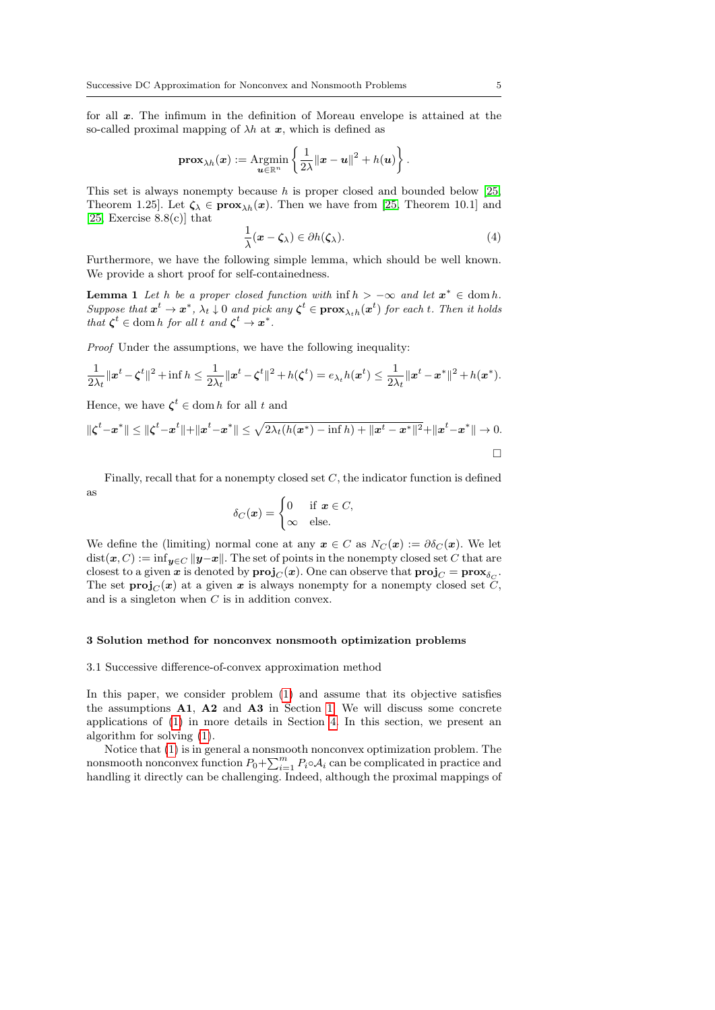for all x. The infimum in the definition of Moreau envelope is attained at the so-called proximal mapping of  $\lambda h$  at x, which is defined as

$$
\mathbf{prox}_{\lambda h}(\boldsymbol{x}) := \underset{\boldsymbol{u} \in \mathbb{R}^n}{\text{Argmin}} \left\{ \frac{1}{2\lambda} ||\boldsymbol{x} - \boldsymbol{u}||^2 + h(\boldsymbol{u}) \right\}.
$$

This set is always nonempty because  $h$  is proper closed and bounded below [\[25,](#page-23-6) Theorem 1.25]. Let  $\zeta_{\lambda} \in \mathbf{prox}_{\lambda h}(x)$ . Then we have from [\[25,](#page-23-6) Theorem 10.1] and [\[25,](#page-23-6) Exercise  $8.8(c)$ ] that

<span id="page-4-2"></span><span id="page-4-1"></span>
$$
\frac{1}{\lambda}(\boldsymbol{x}-\boldsymbol{\zeta}_{\lambda})\in\partial h(\boldsymbol{\zeta}_{\lambda}).
$$
\n(4)

Furthermore, we have the following simple lemma, which should be well known. We provide a short proof for self-containedness.

**Lemma 1** Let h be a proper closed function with  $\inf h > -\infty$  and let  $x^* \in \text{dom } h$ . Suppose that  $x^t \to x^*$ ,  $\lambda_t \downarrow 0$  and pick any  $\zeta^t \in \mathbf{prox}_{\lambda_t h}(x^t)$  for each t. Then it holds that  $\zeta^t \in \text{dom } h$  for all t and  $\zeta^t \to \mathbf{x}^*$ .

Proof Under the assumptions, we have the following inequality:

$$
\frac{1}{2\lambda_t}||x^t - \zeta^t||^2 + \inf h \le \frac{1}{2\lambda_t}||x^t - \zeta^t||^2 + h(\zeta^t) = e_{\lambda_t}h(x^t) \le \frac{1}{2\lambda_t}||x^t - x^*||^2 + h(x^*).
$$

Hence, we have  $\zeta^t \in \text{dom } h$  for all t and

$$
\|\zeta^t - x^*\| \le \|\zeta^t - x^t\| + \|x^t - x^*\| \le \sqrt{2\lambda_t(h(x^*) - \inf h) + \|x^t - x^*\|^2} + \|x^t - x^*\| \to 0.
$$

Finally, recall that for a nonempty closed set  $C$ , the indicator function is defined

$$
\rm as
$$

$$
\delta_C(\boldsymbol{x}) = \begin{cases} 0 & \text{if } \boldsymbol{x} \in C, \\ \infty & \text{else.} \end{cases}
$$

We define the (limiting) normal cone at any  $x \in C$  as  $N_C(x) := \partial \delta_C(x)$ . We let  $dist(x, C) := \inf_{y \in C} ||y-x||$ . The set of points in the nonempty closed set C that are closest to a given  $x$  is denoted by  $\textbf{proj}_C(x)$ . One can observe that  $\textbf{proj}_C = \textbf{prox}_{\delta_C}$ . The set  $\text{proj}_{C}(x)$  at a given x is always nonempty for a nonempty closed set C. and is a singleton when C is in addition convex.

## <span id="page-4-0"></span>3 Solution method for nonconvex nonsmooth optimization problems

## 3.1 Successive difference-of-convex approximation method

In this paper, we consider problem [\(1\)](#page-1-0) and assume that its objective satisfies the assumptions A1, A2 and A3 in Section [1.](#page-1-1) We will discuss some concrete applications of [\(1\)](#page-1-0) in more details in Section [4.](#page-11-0) In this section, we present an algorithm for solving [\(1\)](#page-1-0).

Notice that [\(1\)](#page-1-0) is in general a nonsmooth nonconvex optimization problem. The nonsmooth nonconvex function  $P_0 + \sum_{i=1}^m P_i \circ A_i$  can be complicated in practice and handling it directly can be challenging. Indeed, although the proximal mappings of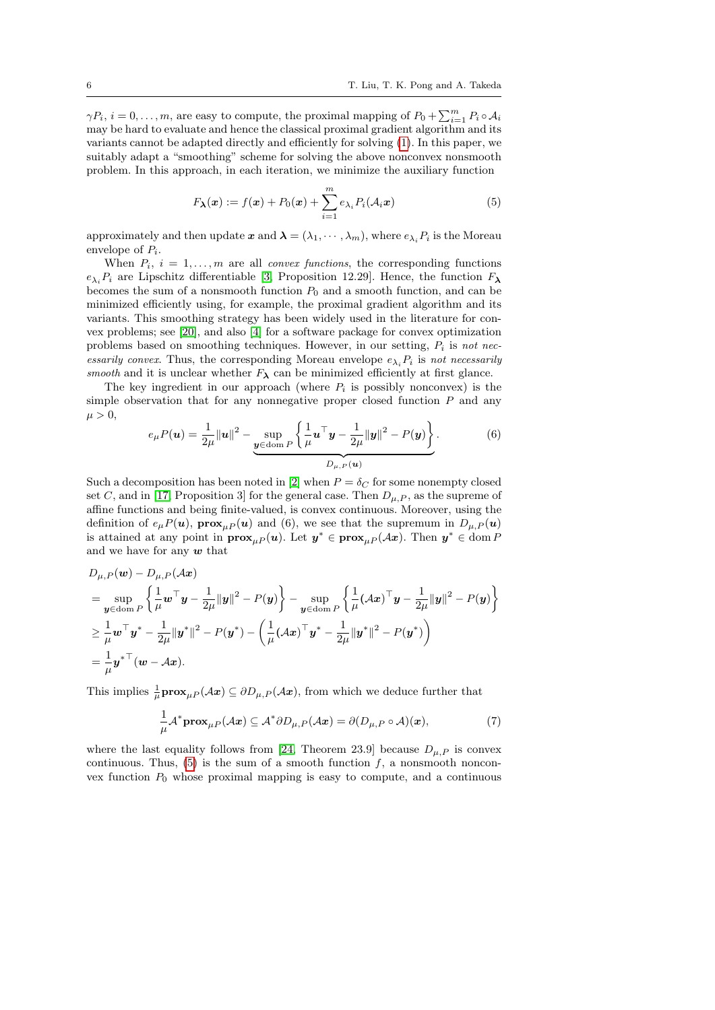$\gamma P_i$ ,  $i = 0, \ldots, m$ , are easy to compute, the proximal mapping of  $P_0 + \sum_{i=1}^{m} P_i \circ A_i$ may be hard to evaluate and hence the classical proximal gradient algorithm and its variants cannot be adapted directly and efficiently for solving [\(1\)](#page-1-0). In this paper, we suitably adapt a "smoothing" scheme for solving the above nonconvex nonsmooth problem. In this approach, in each iteration, we minimize the auxiliary function

<span id="page-5-0"></span>
$$
F_{\boldsymbol{\lambda}}(\boldsymbol{x}) := f(\boldsymbol{x}) + P_0(\boldsymbol{x}) + \sum_{i=1}^m e_{\lambda_i} P_i(\mathcal{A}_i \boldsymbol{x})
$$
\n(5)

approximately and then update  $x$  and  $\lambda = (\lambda_1, \dots, \lambda_m)$ , where  $e_{\lambda_i} P_i$  is the Moreau envelope of  $P_i$ .

When  $P_i$ ,  $i = 1, \ldots, m$  are all *convex functions*, the corresponding functions  $e_{\lambda_i}P_i$  are Lipschitz differentiable [\[3,](#page-23-7) Proposition 12.29]. Hence, the function  $F_{\lambda}$ becomes the sum of a nonsmooth function  $P_0$  and a smooth function, and can be minimized efficiently using, for example, the proximal gradient algorithm and its variants. This smoothing strategy has been widely used in the literature for convex problems; see [\[20\]](#page-23-8), and also [\[4\]](#page-23-9) for a software package for convex optimization problems based on smoothing techniques. However, in our setting,  $P_i$  is not necessarily convex. Thus, the corresponding Moreau envelope  $e_{\lambda_i}P_i$  is not necessarily smooth and it is unclear whether  $F_{\lambda}$  can be minimized efficiently at first glance.

The key ingredient in our approach (where  $P_i$  is possibly nonconvex) is the simple observation that for any nonnegative proper closed function  $P$  and any  $\mu > 0$ ,

<span id="page-5-2"></span>
$$
e_{\mu}P(\boldsymbol{u}) = \frac{1}{2\mu} ||\boldsymbol{u}||^2 - \underbrace{\sup}_{\boldsymbol{y} \in \text{dom } P} \left\{ \frac{1}{\mu} \boldsymbol{u}^{\top} \boldsymbol{y} - \frac{1}{2\mu} ||\boldsymbol{y}||^2 - P(\boldsymbol{y}) \right\}}_{D_{\mu, P}(\boldsymbol{u})}.
$$
(6)

Such a decomposition has been noted in [\[2\]](#page-23-10) when  $P = \delta_C$  for some nonempty closed set C, and in [\[17,](#page-23-11) Proposition 3] for the general case. Then  $D_{\mu,P}$ , as the supreme of affine functions and being finite-valued, is convex continuous. Moreover, using the definition of  $e_{\mu}P(u)$ ,  $\mathbf{prox}_{\mu}P(u)$  and (6), we see that the supremum in  $D_{\mu,P}(u)$ is attained at any point in  $\mathbf{prox}_{\mu}(u)$ . Let  $y^* \in \mathbf{prox}_{\mu}(Ax)$ . Then  $y^* \in \text{dom } P$ and we have for any  $w$  that

$$
D_{\mu,P}(w) - D_{\mu,P}(Ax)
$$
  
=  $\sup_{y \in \text{dom } P} \left\{ \frac{1}{\mu} w^\top y - \frac{1}{2\mu} ||y||^2 - P(y) \right\} - \sup_{y \in \text{dom } P} \left\{ \frac{1}{\mu} (Ax)^\top y - \frac{1}{2\mu} ||y||^2 - P(y) \right\}$   
 $\ge \frac{1}{\mu} w^\top y^* - \frac{1}{2\mu} ||y^*||^2 - P(y^*) - \left( \frac{1}{\mu} (Ax)^\top y^* - \frac{1}{2\mu} ||y^*||^2 - P(y^*) \right)$   
=  $\frac{1}{\mu} y^{*\top} (w - Ax).$ 

This implies  $\frac{1}{\mu}$ **prox**<sub> $\mu$ </sub> $P(Ax) \subseteq \partial D_{\mu}P(Ax)$ , from which we deduce further that

<span id="page-5-1"></span>
$$
\frac{1}{\mu} \mathcal{A}^* \mathbf{prox}_{\mu P}(\mathcal{A} \mathbf{x}) \subseteq \mathcal{A}^* \partial D_{\mu, P}(\mathcal{A} \mathbf{x}) = \partial (D_{\mu, P} \circ \mathcal{A})(\mathbf{x}), \tag{7}
$$

where the last equality follows from [\[24,](#page-23-12) Theorem 23.9] because  $D_{\mu,P}$  is convex continuous. Thus,  $(5)$  is the sum of a smooth function f, a nonsmooth nonconvex function  $P_0$  whose proximal mapping is easy to compute, and a continuous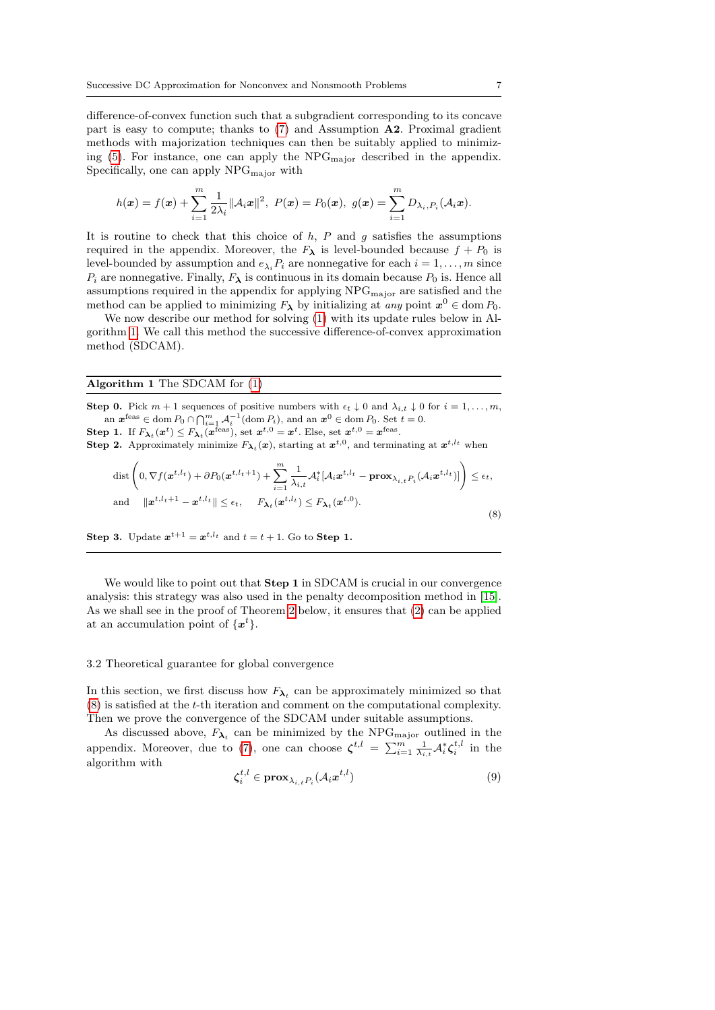difference-of-convex function such that a subgradient corresponding to its concave part is easy to compute; thanks to [\(7\)](#page-5-1) and Assumption A2. Proximal gradient methods with majorization techniques can then be suitably applied to minimizing  $(5)$ . For instance, one can apply the NPG<sub>major</sub> described in the appendix. Specifically, one can apply  $NPG_{major}$  with

$$
h(\mathbf{x}) = f(\mathbf{x}) + \sum_{i=1}^{m} \frac{1}{2\lambda_i} ||\mathcal{A}_i \mathbf{x}||^2, \ P(\mathbf{x}) = P_0(\mathbf{x}), \ g(\mathbf{x}) = \sum_{i=1}^{m} D_{\lambda_i, P_i}(\mathcal{A}_i \mathbf{x}).
$$

It is routine to check that this choice of  $h$ ,  $P$  and  $g$  satisfies the assumptions required in the appendix. Moreover, the  $F_{\lambda}$  is level-bounded because  $f + P_0$  is level-bounded by assumption and  $e_{\lambda_i}P_i$  are nonnegative for each  $i = 1, \ldots, m$  since  $P_i$  are nonnegative. Finally,  $F_{\lambda}$  is continuous in its domain because  $P_0$  is. Hence all assumptions required in the appendix for applying  $NPG_{\text{major}}$  are satisfied and the method can be applied to minimizing  $F_{\lambda}$  by initializing at any point  $x^0 \in \text{dom } P_0$ .

We now describe our method for solving [\(1\)](#page-1-0) with its update rules below in Algorithm [1.](#page-6-0) We call this method the successive difference-of-convex approximation method (SDCAM).

## <span id="page-6-0"></span>Algorithm 1 The SDCAM for [\(1\)](#page-1-0)

**Step 0.** Pick  $m + 1$  sequences of positive numbers with  $\epsilon_t \downarrow 0$  and  $\lambda_{i,t} \downarrow 0$  for  $i = 1, \ldots, m$ , an  $\mathbf{x}^{\text{feas}} \in \text{dom } P_0 \cap \bigcap_{i=1}^m \mathcal{A}_i^{-1}(\text{dom } P_i)$ , and an  $\mathbf{x}^0 \in \text{dom } P_0$ . Set  $t = 0$ .

**Step 1.** If  $F_{\lambda_t}(x^t) \leq F_{\lambda_t}(x^{\text{feas}})$ , set  $x^{t,0} = x^t$ . Else, set  $x^{t,0} = x^{\text{feas}}$ .

**Step 2.** Approximately minimize  $F_{\lambda_t}(x)$ , starting at  $x^{t,0}$ , and terminating at  $x^{t, l_t}$  when

<span id="page-6-1"></span>
$$
\text{dist}\left(0, \nabla f(\boldsymbol{x}^{t,l_t}) + \partial P_0(\boldsymbol{x}^{t,l_t+1}) + \sum_{i=1}^m \frac{1}{\lambda_{i,t}} \mathcal{A}_i^* [\mathcal{A}_i \boldsymbol{x}^{t,l_t} - \mathbf{prox}_{\lambda_{i,t} P_i}(\mathcal{A}_i \boldsymbol{x}^{t,l_t})] \right) \le \epsilon_t,
$$
\n
$$
\text{and} \quad \|\boldsymbol{x}^{t,l_t+1} - \boldsymbol{x}^{t,l_t}\| \le \epsilon_t, \quad F_{\boldsymbol{\lambda}_t}(\boldsymbol{x}^{t,l_t}) \le F_{\boldsymbol{\lambda}_t}(\boldsymbol{x}^{t,0}).
$$
\n
$$
(8)
$$

**Step 3.** Update  $x^{t+1} = x^{t,l_t}$  and  $t = t + 1$ . Go to **Step 1.** 

We would like to point out that **Step 1** in SDCAM is crucial in our convergence analysis: this strategy was also used in the penalty decomposition method in [\[15\]](#page-23-13). As we shall see in the proof of Theorem [2](#page-8-0) below, it ensures that [\(2\)](#page-3-1) can be applied at an accumulation point of  $\{x^t\}.$ 

## 3.2 Theoretical guarantee for global convergence

In this section, we first discuss how  $F_{\lambda_t}$  can be approximately minimized so that [\(8\)](#page-6-1) is satisfied at the t-th iteration and comment on the computational complexity. Then we prove the convergence of the SDCAM under suitable assumptions.

As discussed above,  $F_{\lambda_t}$  can be minimized by the NPG<sub>major</sub> outlined in the appendix. Moreover, due to [\(7\)](#page-5-1), one can choose  $\zeta^{t,l} = \sum_{i=1}^m \frac{1}{\lambda_{i,t}} \mathcal{A}_i^* \zeta_i^{t,l}$  in the algorithm with

<span id="page-6-2"></span>
$$
\boldsymbol{\zeta}_i^{t,l} \in \mathbf{prox}_{\lambda_{i,t} P_i}(\mathcal{A}_i \boldsymbol{x}^{t,l})
$$
\n(9)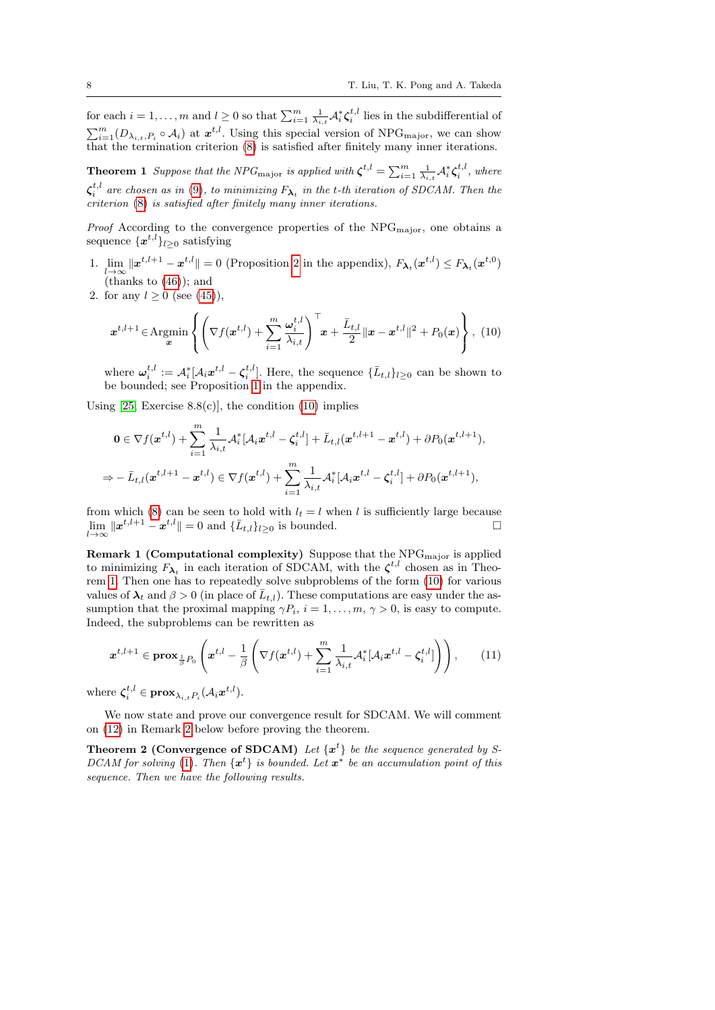for each  $i = 1, \ldots, m$  and  $l \geq 0$  so that  $\sum_{i=1}^{m} \frac{1}{\lambda_{i,t}} \mathcal{A}_i^* \zeta_i^{t,l}$  lies in the subdifferential of  $\sum_{i=1}^{m} (D_{\lambda_i,t,P_i} \circ A_i)$  at  $\boldsymbol{x}^{t,l}$ . Using this special version of NPG<sub>major</sub>, we can show that the termination criterion [\(8\)](#page-6-1) is satisfied after finitely many inner iterations.

<span id="page-7-1"></span>**Theorem 1** Suppose that the NPG<sub>major</sub> is applied with  $\boldsymbol{\zeta}^{t,l} = \sum_{i=1}^m \frac{1}{\lambda_{i,t}} \mathcal{A}_i^* \boldsymbol{\zeta}_i^{t,l}$ , where  $\zeta_i^{t,l}$  are chosen as in [\(9\)](#page-6-2), to minimizing  $F_{\boldsymbol{\lambda}_t}$  in the t-th iteration of SDCAM. Then the  $c$ <sup> $\alpha$ </sup> criterion [\(8\)](#page-6-1) is satisfied after finitely many inner iterations.

*Proof* According to the convergence properties of the  $NPG_{major}$ , one obtains a sequence  $\{\boldsymbol{x}^{t,l}\}_{l\geq 0}$  satisfying

- 1.  $\lim_{l\to\infty} ||x^{t,l+1} x^{t,l}|| = 0$  (Proposition [2](#page-23-14) in the appendix),  $F_{\lambda_t}(x^{t,l}) \leq F_{\lambda_t}(x^{t,0})$ (thanks to  $(46)$ ); and
- 2. for any  $l \ge 0$  (see [\(45\)](#page-22-1)),

<span id="page-7-0"></span>
$$
\boldsymbol{x}^{t,l+1} \in \operatorname{Argmin}_{\boldsymbol{x}} \left\{ \left( \nabla f(\boldsymbol{x}^{t,l}) + \sum_{i=1}^{m} \frac{\omega_i^{t,l}}{\lambda_{i,t}} \right)^{\top} \boldsymbol{x} + \frac{\bar{L}_{t,l}}{2} || \boldsymbol{x} - \boldsymbol{x}^{t,l} ||^2 + P_0(\boldsymbol{x}) \right\}, \tag{10}
$$

where  $\boldsymbol{\omega}_i^{t,l} := A_i^* [A_i \boldsymbol{x}^{t,l} - \boldsymbol{\zeta}_i^{t,l}]$ . Here, the sequence  $\{\bar{L}_{t,l}\}_{l \geq 0}$  can be shown to be bounded; see Proposition [1](#page-22-2) in the appendix.

Using  $[25, Exercise 8.8(c)]$  $[25, Exercise 8.8(c)]$ , the condition  $(10)$  implies

$$
0 \in \nabla f(\boldsymbol{x}^{t,l}) + \sum_{i=1}^{m} \frac{1}{\lambda_{i,t}} \mathcal{A}_{i}^{*}[\mathcal{A}_{i} \boldsymbol{x}^{t,l} - \boldsymbol{\zeta}_{i}^{t,l}] + \bar{L}_{t,l}(\boldsymbol{x}^{t,l+1} - \boldsymbol{x}^{t,l}) + \partial P_{0}(\boldsymbol{x}^{t,l+1}),
$$
  

$$
\Rightarrow -\bar{L}_{t,l}(\boldsymbol{x}^{t,l+1} - \boldsymbol{x}^{t,l}) \in \nabla f(\boldsymbol{x}^{t,l}) + \sum_{i=1}^{m} \frac{1}{\lambda_{i,t}} \mathcal{A}_{i}^{*}[\mathcal{A}_{i} \boldsymbol{x}^{t,l} - \boldsymbol{\zeta}_{i}^{t,l}] + \partial P_{0}(\boldsymbol{x}^{t,l+1}),
$$

from which [\(8\)](#page-6-1) can be seen to hold with  $l_t = l$  when l is sufficiently large because  $\lim_{l\to\infty} ||x^{t,l+1} - x^{t,l}|| = 0$  and  $\{\bar{L}_{t,l}\}_{l\geq 0}$  is bounded.

**Remark 1 (Computational complexity)** Suppose that the  $NPG<sub>major</sub>$  is applied to minimizing  $F_{\lambda_t}$  in each iteration of SDCAM, with the  $\zeta^{t,l}$  chosen as in Theorem [1.](#page-7-1) Then one has to repeatedly solve subproblems of the form [\(10\)](#page-7-0) for various values of  $\lambda_t$  and  $\beta > 0$  (in place of  $\overline{L}_{t,l}$ ). These computations are easy under the assumption that the proximal mapping  $\gamma P_i$ ,  $i = 1, \ldots, m, \gamma > 0$ , is easy to compute. Indeed, the subproblems can be rewritten as

$$
\boldsymbol{x}^{t,l+1} \in \mathbf{prox}_{\frac{1}{\beta}P_0}\left(\boldsymbol{x}^{t,l} - \frac{1}{\beta}\left(\nabla f(\boldsymbol{x}^{t,l}) + \sum_{i=1}^m \frac{1}{\lambda_{i,t}} \mathcal{A}_i^*[\mathcal{A}_i \boldsymbol{x}^{t,l} - \boldsymbol{\zeta}_i^{t,l}]\right)\right),\qquad(11)
$$

where  $\boldsymbol{\zeta}_i^{t,l} \in \mathbf{prox}_{\lambda_{i,t} P_i}(\mathcal{A}_i \boldsymbol{x}^{t,l}).$ 

We now state and prove our convergence result for SDCAM. We will comment on [\(12\)](#page-8-1) in Remark [2](#page-8-2) below before proving the theorem.

**Theorem 2 (Convergence of SDCAM)** Let  $\{x^t\}$  be the sequence generated by S-DCAM for solving [\(1\)](#page-1-0). Then  $\{x^{t}\}\$ is bounded. Let  $x^{*}$  be an accumulation point of this sequence. Then we have the following results.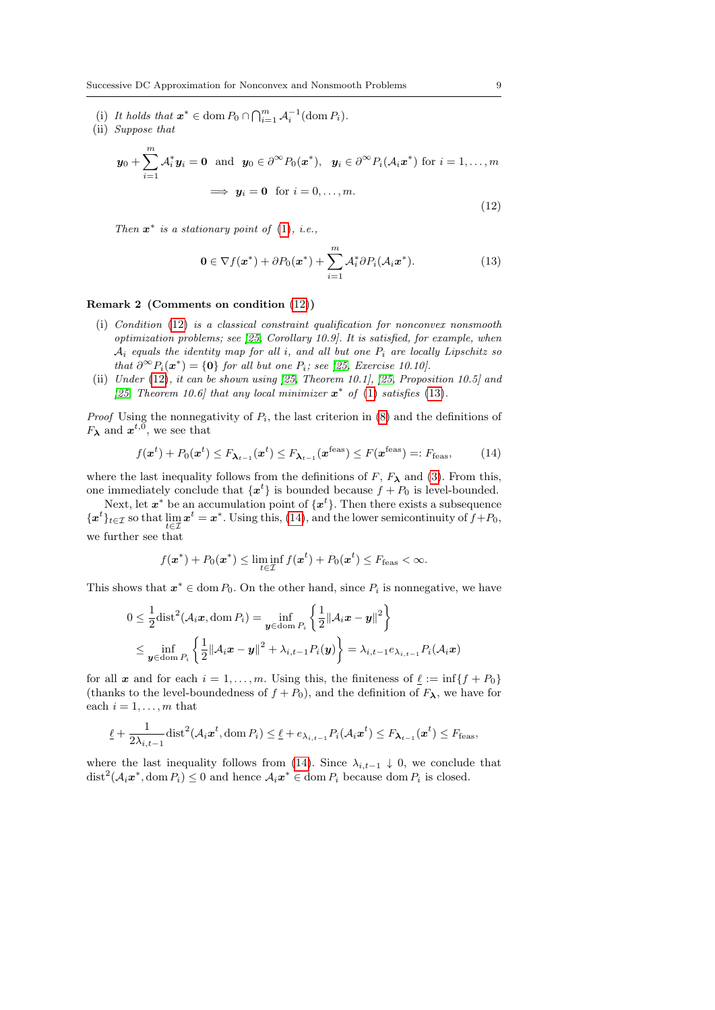(i) It holds that  $\mathbf{x}^* \in \text{dom } P_0 \cap \bigcap_{i=1}^m \mathcal{A}_i^{-1}(\text{dom } P_i)$ .

(ii) Suppose that

<span id="page-8-1"></span>
$$
\mathbf{y}_0 + \sum_{i=1}^m \mathcal{A}_i^* \mathbf{y}_i = \mathbf{0} \text{ and } \mathbf{y}_0 \in \partial^{\infty} P_0(\mathbf{x}^*), \quad \mathbf{y}_i \in \partial^{\infty} P_i(\mathcal{A}_i \mathbf{x}^*) \text{ for } i = 1, ..., m
$$

$$
\implies \mathbf{y}_i = \mathbf{0} \text{ for } i = 0, ..., m.
$$
(12)

Then  $x^*$  is a stationary point of [\(1\)](#page-1-0), i.e.,

<span id="page-8-0"></span>
$$
\mathbf{0} \in \nabla f(\mathbf{x}^*) + \partial P_0(\mathbf{x}^*) + \sum_{i=1}^m \mathcal{A}_i^* \partial P_i(\mathcal{A}_i \mathbf{x}^*).
$$
 (13)

## <span id="page-8-2"></span>Remark 2 (Comments on condition [\(12\)](#page-8-1))

- (i) Condition [\(12\)](#page-8-1) is a classical constraint qualification for nonconvex nonsmooth optimization problems; see [\[25,](#page-23-6) Corollary 10.9]. It is satisfied, for example, when  $A_i$  equals the identity map for all i, and all but one  $P_i$  are locally Lipschitz so that  $\partial^{\infty} P_i(\boldsymbol{x}^*) = \{\boldsymbol{0}\}\$  for all but one  $P_i$ ; see [\[25,](#page-23-6) Exercise 10.10].
- (ii) Under [\(12\)](#page-8-1), it can be shown using [\[25,](#page-23-6) Theorem 10.1], [\[25,](#page-23-6) Proposition 10.5] and [\[25,](#page-23-6) Theorem 10.6] that any local minimizer  $x^*$  of [\(1\)](#page-1-0) satisfies [\(13\)](#page-8-0).

*Proof* Using the nonnegativity of  $P_i$ , the last criterion in [\(8\)](#page-6-1) and the definitions of  $F_{\lambda}$  and  $x^{t,0}$ , we see that

<span id="page-8-3"></span>
$$
f(\boldsymbol{x}^{t}) + P_0(\boldsymbol{x}^{t}) \le F_{\boldsymbol{\lambda}_{t-1}}(\boldsymbol{x}^{t}) \le F_{\boldsymbol{\lambda}_{t-1}}(\boldsymbol{x}^{\text{feas}}) \le F(\boldsymbol{x}^{\text{feas}}) =: F_{\text{feas}},\tag{14}
$$

where the last inequality follows from the definitions of  $F$ ,  $F_{\lambda}$  and [\(3\)](#page-3-2). From this, one immediately conclude that  $\{x^t\}$  is bounded because  $f + P_0$  is level-bounded.

Next, let  $x^*$  be an accumulation point of  $\{x^t\}$ . Then there exists a subsequence  $\{x^t\}_{t\in\mathcal{I}}$  so that  $\lim_{t\in\mathcal{I}} x^t = x^*$ . Using this, [\(14\)](#page-8-3), and the lower semicontinuity of  $f+P_0$ , we further see that

$$
f(\mathbf{x}^*) + P_0(\mathbf{x}^*) \leq \liminf_{t \in \mathcal{I}} f(\mathbf{x}^t) + P_0(\mathbf{x}^t) \leq F_{\text{feas}} < \infty.
$$

This shows that  $x^* \in \text{dom } P_0$ . On the other hand, since  $P_i$  is nonnegative, we have

$$
0 \leq \frac{1}{2} \text{dist}^2(\mathcal{A}_i \mathbf{x}, \text{dom } P_i) = \inf_{\mathbf{y} \in \text{dom } P_i} \left\{ \frac{1}{2} ||\mathcal{A}_i \mathbf{x} - \mathbf{y}||^2 \right\}
$$
  

$$
\leq \inf_{\mathbf{y} \in \text{dom } P_i} \left\{ \frac{1}{2} ||\mathcal{A}_i \mathbf{x} - \mathbf{y}||^2 + \lambda_{i,t-1} P_i(\mathbf{y}) \right\} = \lambda_{i,t-1} e_{\lambda_{i,t-1}} P_i(\mathcal{A}_i \mathbf{x})
$$

for all x and for each  $i = 1, \ldots, m$ . Using this, the finiteness of  $\underline{\ell} := \inf\{f + P_0\}$ (thanks to the level-boundedness of  $f + P_0$ ), and the definition of  $F_{\lambda}$ , we have for each  $i = 1, \ldots, m$  that

$$
\underline{\ell} + \frac{1}{2\lambda_{i,t-1}} \text{dist}^2(\mathcal{A}_i \mathbf{x}^t, \text{dom } P_i) \leq \underline{\ell} + e_{\lambda_{i,t-1}} P_i(\mathcal{A}_i \mathbf{x}^t) \leq F_{\lambda_{t-1}}(\mathbf{x}^t) \leq F_{\text{feas}},
$$

where the last inequality follows from [\(14\)](#page-8-3). Since  $\lambda_{i,t-1} \downarrow 0$ , we conclude that  $dist^2(A_i\boldsymbol{x}^*,\text{dom }P_i) \leq 0$  and hence  $A_i\boldsymbol{x}^* \in \text{dom }P_i$  because dom  $P_i$  is closed.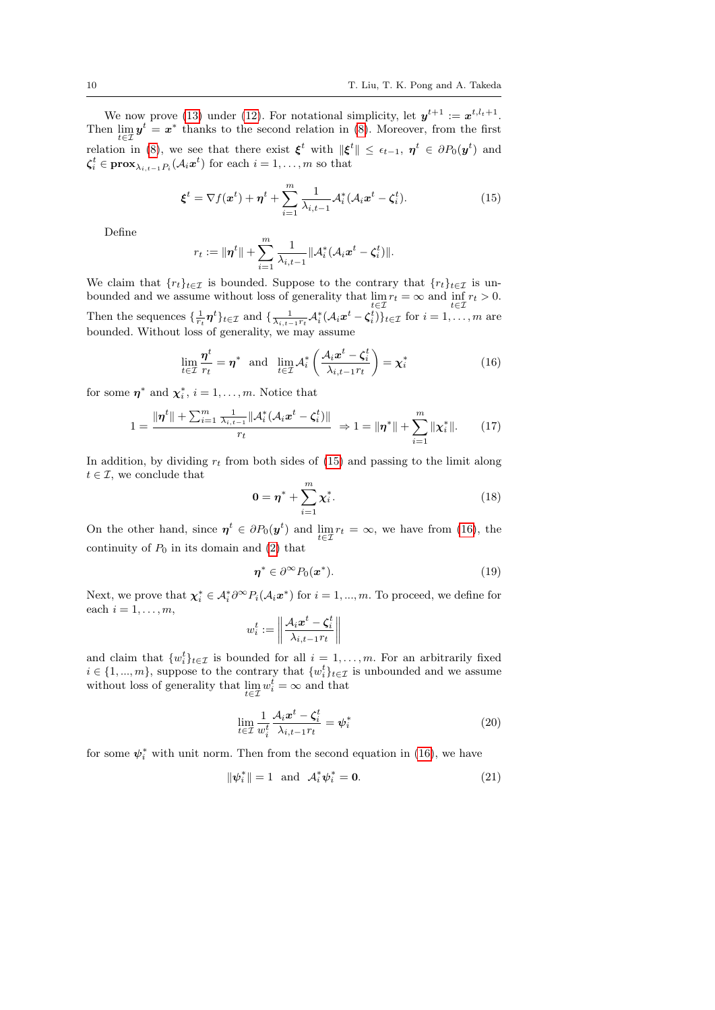We now prove [\(13\)](#page-8-0) under [\(12\)](#page-8-1). For notational simplicity, let  $y^{t+1} := x^{t, l_t+1}$ . Then  $\lim_{t \in \mathcal{I}} y^t = x^*$  thanks to the second relation in [\(8\)](#page-6-1). Moreover, from the first relation in [\(8\)](#page-6-1), we see that there exist  $\xi^t$  with  $\|\xi^t\| \leq \epsilon_{t-1}$ ,  $\eta^t \in \partial P_0(\mathbf{y}^t)$  and  $\boldsymbol{\zeta}_i^t \in \mathbf{prox}_{\lambda_{i,t-1} P_i}(\mathcal{A}_i \boldsymbol{x}^t)$  for each  $i = 1, \ldots, m$  so that

<span id="page-9-0"></span>
$$
\boldsymbol{\xi}^t = \nabla f(\boldsymbol{x}^t) + \boldsymbol{\eta}^t + \sum_{i=1}^m \frac{1}{\lambda_{i,t-1}} \mathcal{A}_i^*(\mathcal{A}_i \boldsymbol{x}^t - \boldsymbol{\zeta}_i^t). \tag{15}
$$

Define

$$
r_t := \|\boldsymbol{\eta}^t\| + \sum_{i=1}^m \frac{1}{\lambda_{i,t-1}} \|\mathcal{A}_i^*(\mathcal{A}_i \boldsymbol{x}^t - \boldsymbol{\zeta}_i^t)\|.
$$

We claim that  $\{r_t\}_{t\in\mathcal{I}}$  is bounded. Suppose to the contrary that  $\{r_t\}_{t\in\mathcal{I}}$  is unbounded and we assume without loss of generality that  $\lim_{t \in \mathcal{I}} r_t = \infty$  and  $\inf_{t \in \mathcal{I}} r_t > 0$ . Then the sequences  $\{\frac{1}{r_t}\boldsymbol{\eta}^t\}_{t\in\mathcal{I}}$  and  $\{\frac{1}{\lambda_{i,t-1}r_t}\mathcal{A}_i^*(\mathcal{A}_i\boldsymbol{x}^t-\boldsymbol{\zeta}_i^t)\}_{t\in\mathcal{I}}$  for  $i=1,\ldots,m$  are bounded. Without loss of generality, we may assume

<span id="page-9-1"></span>
$$
\lim_{t \in \mathcal{I}} \frac{\boldsymbol{\eta}^t}{r_t} = \boldsymbol{\eta}^* \quad \text{and} \quad \lim_{t \in \mathcal{I}} \mathcal{A}_i^* \left( \frac{\mathcal{A}_i \boldsymbol{x}^t - \zeta_i^t}{\lambda_{i, t-1} r_t} \right) = \boldsymbol{\chi}_i^* \tag{16}
$$

for some  $\eta^*$  and  $\chi_i^*, i = 1, \ldots, m$ . Notice that

<span id="page-9-4"></span>
$$
1 = \frac{\|\boldsymbol{\eta}^{t}\| + \sum_{i=1}^{m} \frac{1}{\lambda_{i,t-1}} \|\mathcal{A}_i^*(\mathcal{A}_i \boldsymbol{x}^t - \boldsymbol{\zeta}_i^t)\|}{r_t} \Rightarrow 1 = \|\boldsymbol{\eta}^*\| + \sum_{i=1}^{m} \|\boldsymbol{\chi}_i^*\|.
$$
 (17)

In addition, by dividing  $r_t$  from both sides of [\(15\)](#page-9-0) and passing to the limit along  $t \in \mathcal{I}$ , we conclude that

<span id="page-9-5"></span>
$$
0 = \eta^* + \sum_{i=1}^m \chi_i^*.
$$
 (18)

On the other hand, since  $\eta^t \in \partial P_0(\mathbf{y}^t)$  and  $\lim_{t \in \mathcal{I}} r_t = \infty$ , we have from [\(16\)](#page-9-1), the continuity of  $P_0$  in its domain and [\(2\)](#page-3-1) that

<span id="page-9-6"></span>
$$
\boldsymbol{\eta}^* \in \partial^{\infty} P_0(\boldsymbol{x}^*). \tag{19}
$$

Next, we prove that  $\chi_i^* \in \mathcal{A}_i^* \partial^\infty P_i(\mathcal{A}_i x^*)$  for  $i = 1, ..., m$ . To proceed, we define for each  $i = 1, \ldots, m$ ,

$$
w_i^t := \left\| \frac{\mathcal{A}_i x^t - \zeta_i^t}{\lambda_{i,t-1} r_t} \right\|
$$

and claim that  $\{w_i^t\}_{t\in\mathcal{I}}$  is bounded for all  $i=1,\ldots,m$ . For an arbitrarily fixed  $i \in \{1, ..., m\}$ , suppose to the contrary that  $\{w_i^t\}_{t \in \mathcal{I}}$  is unbounded and we assume without loss of generality that  $\lim_{t \in \mathcal{I}} w_i^t = \infty$  and that

<span id="page-9-2"></span>
$$
\lim_{t \in \mathcal{I}} \frac{1}{w_i^t} \frac{\mathcal{A}_i x^t - \zeta_i^t}{\lambda_{i, t-1} r_t} = \psi_i^*
$$
\n(20)

for some  $\psi_i^*$  with unit norm. Then from the second equation in [\(16\)](#page-9-1), we have

<span id="page-9-3"></span>
$$
\|\boldsymbol{\psi}_i^*\| = 1 \quad \text{and} \quad \mathcal{A}_i^* \boldsymbol{\psi}_i^* = \mathbf{0}.\tag{21}
$$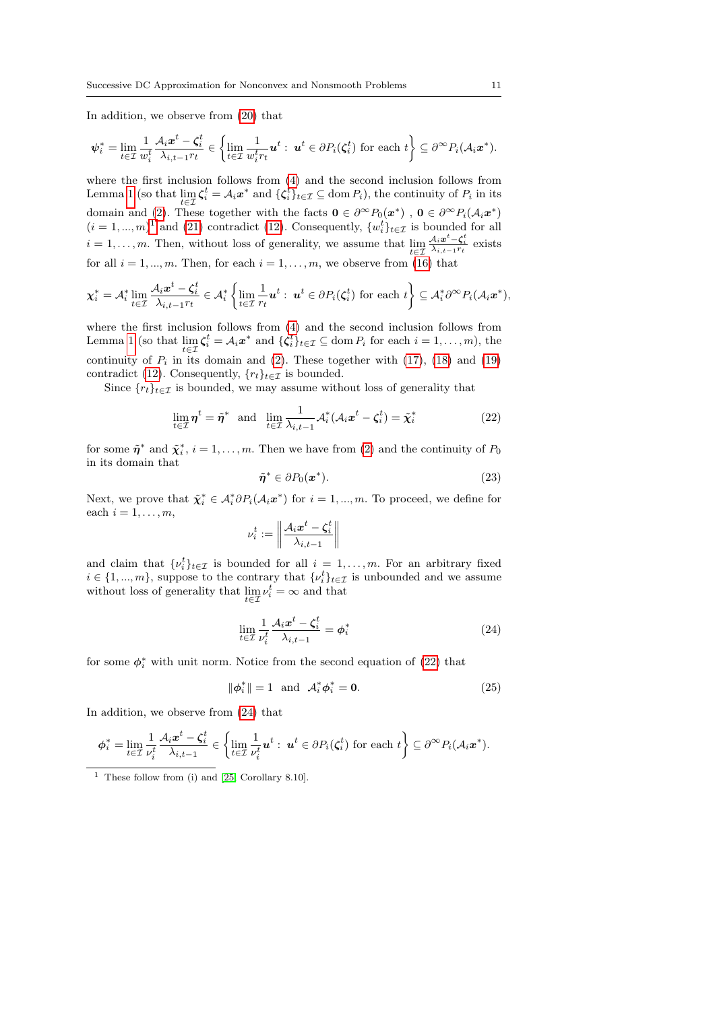In addition, we observe from [\(20\)](#page-9-2) that

$$
\psi_i^* = \lim_{t \in \mathcal{I}} \frac{1}{w_i^t} \frac{\mathcal{A}_i x^t - \zeta_i^t}{\lambda_{i,t-1} r_t} \in \left\{ \lim_{t \in \mathcal{I}} \frac{1}{w_i^t r_t} u^t : u^t \in \partial P_i(\zeta_i^t) \text{ for each } t \right\} \subseteq \partial^{\infty} P_i(\mathcal{A}_i x^*).
$$

where the first inclusion follows from [\(4\)](#page-4-1) and the second inclusion follows from Lemma [1](#page-4-2) (so that  $\lim_{t \in \mathcal{I}} \zeta_i^t = \mathcal{A}_i x^*$  and  $\{\zeta_i^t\}_{t \in \mathcal{I}} \subseteq \text{dom } P_i$ ), the continuity of  $P_i$  in its domain and [\(2\)](#page-3-1). These together with the facts  $\mathbf{0} \in \partial^{\infty}P_0(\mathbf{x}^*)$ ,  $\mathbf{0} \in \partial^{\infty}P_i(\mathcal{A}_i\mathbf{x}^*)$  $(i = 1, ..., m)^{1}$  $(i = 1, ..., m)^{1}$  $(i = 1, ..., m)^{1}$  and [\(21\)](#page-9-3) contradict [\(12\)](#page-8-1). Consequently,  $\{w_i^t\}_{t \in \mathcal{I}}$  is bounded for all  $i = 1, \ldots, m$ . Then, without loss of generality, we assume that  $\lim_{t \in \mathcal{I}}$  $\frac{\mathcal{A}_{i} \boldsymbol{x}^{t} - \boldsymbol{\zeta}_{i}^{t}}{\lambda_{i,t-1} r_{t}}$  exists for all  $i = 1, ..., m$ . Then, for each  $i = 1, ..., m$ , we observe from [\(16\)](#page-9-1) that

$$
\chi_i^* = \mathcal{A}_i^* \lim_{t \in \mathcal{I}} \frac{\mathcal{A}_i x^t - \zeta_i^t}{\lambda_{i,t-1} r_t} \in \mathcal{A}_i^* \left\{ \lim_{t \in \mathcal{I}} \frac{1}{r_t} u^t : u^t \in \partial P_i(\zeta_i^t) \text{ for each } t \right\} \subseteq \mathcal{A}_i^* \partial^\infty P_i(\mathcal{A}_i x^*),
$$

where the first inclusion follows from [\(4\)](#page-4-1) and the second inclusion follows from Lemma [1](#page-4-2) (so that  $\lim_{t \in \mathcal{I}} \zeta_i^t = \mathcal{A}_i x^*$  and  $\{\zeta_i^t\}_{t \in \mathcal{I}} \subseteq \text{dom } P_i$  for each  $i = 1, ..., m$ ), the continuity of  $P_i$  in its domain and [\(2\)](#page-3-1). These together with [\(17\)](#page-9-4), [\(18\)](#page-9-5) and [\(19\)](#page-9-6) contradict [\(12\)](#page-8-1). Consequently,  $\{r_t\}_{t\in\mathcal{I}}$  is bounded.

Since  ${r_t}_{t \in \mathcal{I}}$  is bounded, we may assume without loss of generality that

<span id="page-10-1"></span>
$$
\lim_{t \in \mathcal{I}} \eta^t = \tilde{\eta}^* \text{ and } \lim_{t \in \mathcal{I}} \frac{1}{\lambda_{i,t-1}} \mathcal{A}_i^* (\mathcal{A}_i x^t - \zeta_i^t) = \tilde{\chi}_i^* \tag{22}
$$

for some  $\tilde{\eta}^*$  and  $\tilde{\chi}_i^*, i = 1, \ldots, m$ . Then we have from [\(2\)](#page-3-1) and the continuity of  $P_0$ in its domain that

<span id="page-10-4"></span>
$$
\tilde{\boldsymbol{\eta}}^* \in \partial P_0(\boldsymbol{x}^*). \tag{23}
$$

Next, we prove that  $\tilde{\chi}_i^* \in \mathcal{A}_i^* \partial P_i(\mathcal{A}_i x^*)$  for  $i = 1, ..., m$ . To proceed, we define for each  $i = 1, \ldots, m$ ,

$$
\nu_i^t := \left\lVert \frac{\mathcal{A}_i \boldsymbol{x}^t - \boldsymbol{\zeta}_i^t}{\lambda_{i,t-1}} \right\rVert
$$

and claim that  $\{\nu_i^t\}_{t \in \mathcal{I}}$  is bounded for all  $i = 1, \ldots, m$ . For an arbitrary fixed  $i \in \{1, ..., m\}$ , suppose to the contrary that  $\{\nu_i^t\}_{t \in \mathcal{I}}$  is unbounded and we assume without loss of generality that  $\lim_{t \in \mathcal{I}} \nu_i^t = \infty$  and that

<span id="page-10-2"></span>
$$
\lim_{t \in \mathcal{I}} \frac{1}{\nu_i^t} \frac{\mathcal{A}_i x^t - \zeta_i^t}{\lambda_{i,t-1}} = \phi_i^* \tag{24}
$$

for some  $\phi_i^*$  with unit norm. Notice from the second equation of [\(22\)](#page-10-1) that

<span id="page-10-3"></span>
$$
\|\boldsymbol{\phi}_i^*\| = 1 \quad \text{and} \quad \mathcal{A}_i^* \boldsymbol{\phi}_i^* = \mathbf{0}.\tag{25}
$$

In addition, we observe from [\(24\)](#page-10-2) that

$$
\phi_i^* = \lim_{t \in \mathcal{I}} \frac{1}{\nu_i^t} \frac{\mathcal{A}_i x^t - \zeta_i^t}{\lambda_{i,t-1}} \in \left\{ \lim_{t \in \mathcal{I}} \frac{1}{\nu_i^t} u^t : u^t \in \partial P_i(\zeta_i^t) \text{ for each } t \right\} \subseteq \partial^{\infty} P_i(\mathcal{A}_i x^*).
$$

<span id="page-10-0"></span><sup>&</sup>lt;sup>1</sup> These follow from (i) and  $[25, Corollary 8.10]$  $[25, Corollary 8.10]$ .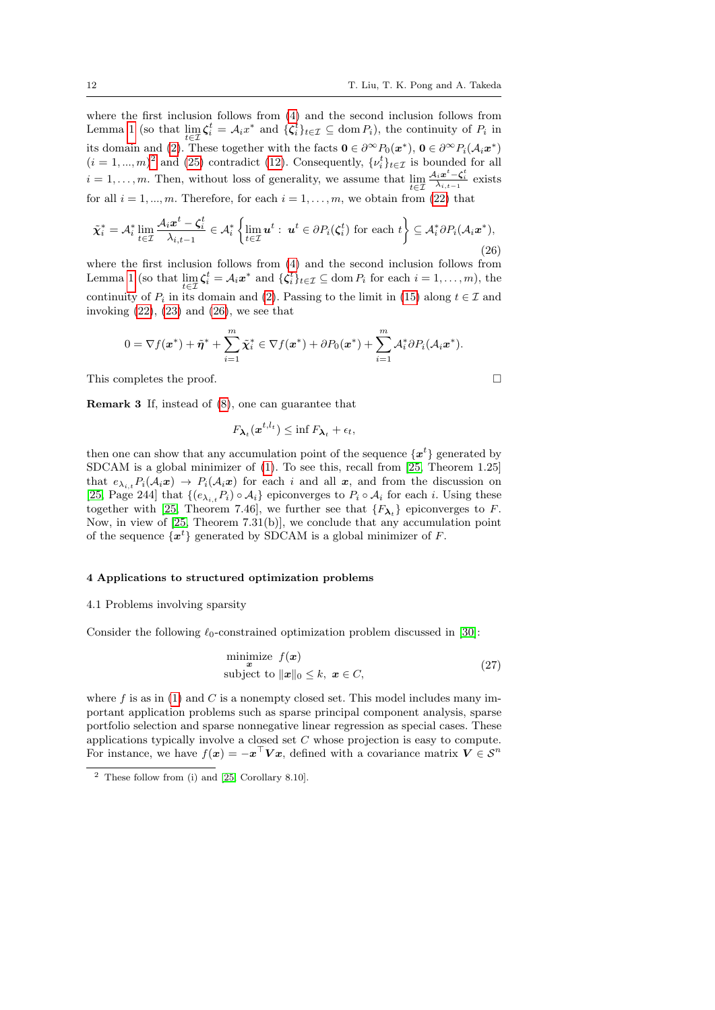where the first inclusion follows from [\(4\)](#page-4-1) and the second inclusion follows from Lemma [1](#page-4-2) (so that  $\lim_{t \in \mathcal{I}} \zeta_i^t = \mathcal{A}_i x^*$  and  $\{\zeta_i^t\}_{t \in \mathcal{I}} \subseteq \text{dom } P_i$ ), the continuity of  $P_i$  in its domain and [\(2\)](#page-3-1). These together with the facts  $\mathbf{0} \in \partial^{\infty} P_0(\mathbf{x}^*)$ ,  $\mathbf{0} \in \partial^{\infty} P_i(\mathcal{A}_i \mathbf{x}^*)$  $(i = 1, ..., m)^2$  $(i = 1, ..., m)^2$  and [\(25\)](#page-10-3) contradict [\(12\)](#page-8-1). Consequently,  $\{v_i^t\}_{t \in \mathcal{I}}$  is bounded for all  $i = 1, \ldots, m$ . Then, without loss of generality, we assume that  $\lim_{t \in \mathcal{I}}$  $\frac{\mathcal{A}_{i} \boldsymbol{x}^{t} - \boldsymbol{\zeta}_{i}^{t}}{\lambda_{i,t-1}}$  exists for all  $i = 1, ..., m$ . Therefore, for each  $i = 1, ..., m$ , we obtain from [\(22\)](#page-10-1) that

<span id="page-11-2"></span>
$$
\tilde{\chi}_i^* = \mathcal{A}_i^* \lim_{t \in \mathcal{I}} \frac{\mathcal{A}_i x^t - \zeta_i^t}{\lambda_{i,t-1}} \in \mathcal{A}_i^* \left\{ \lim_{t \in \mathcal{I}} u^t : u^t \in \partial P_i(\zeta_i^t) \text{ for each } t \right\} \subseteq \mathcal{A}_i^* \partial P_i(\mathcal{A}_i x^*),
$$
\n(26)

where the first inclusion follows from [\(4\)](#page-4-1) and the second inclusion follows from Lemma [1](#page-4-2) (so that  $\lim_{t \in \mathcal{I}} \zeta_i^t = \mathcal{A}_i x^*$  and  $\{\zeta_i^t\}_{t \in \mathcal{I}} \subseteq \text{dom } P_i$  for each  $i = 1, ..., m$ ), the continuity of  $P_i$  in its domain and [\(2\)](#page-3-1). Passing to the limit in [\(15\)](#page-9-0) along  $t \in \mathcal{I}$  and invoking  $(22)$ ,  $(23)$  and  $(26)$ , we see that

$$
0 = \nabla f(\boldsymbol{x}^*) + \tilde{\boldsymbol{\eta}}^* + \sum_{i=1}^m \tilde{\boldsymbol{\chi}}_i^* \in \nabla f(\boldsymbol{x}^*) + \partial P_0(\boldsymbol{x}^*) + \sum_{i=1}^m \mathcal{A}_i^* \partial P_i(\mathcal{A}_i \boldsymbol{x}^*).
$$

This completes the proof.

Remark 3 If, instead of [\(8\)](#page-6-1), one can guarantee that

$$
F_{\boldsymbol{\lambda}_t}(\boldsymbol{x}^{t,l_t}) \leq \inf F_{\boldsymbol{\lambda}_t} + \epsilon_t,
$$

 $\mathbf{t}$ 

then one can show that any accumulation point of the sequence  $\{x^{t}\}$  generated by SDCAM is a global minimizer of [\(1\)](#page-1-0). To see this, recall from [\[25,](#page-23-6) Theorem 1.25] that  $e_{\lambda_{i,t}}P_i(\mathcal{A}_i\boldsymbol{x}) \rightarrow P_i(\mathcal{A}_i\boldsymbol{x})$  for each i and all  $\boldsymbol{x}$ , and from the discussion on [\[25,](#page-23-6) Page 244] that  $\{(e_{\lambda_{i,t}}P_i)\circ A_i\}$  epiconverges to  $P_i\circ A_i$  for each i. Using these together with [\[25,](#page-23-6) Theorem 7.46], we further see that  $\{F_{\lambda_t}\}\$ epiconverges to F. Now, in view of [\[25,](#page-23-6) Theorem 7.31(b)], we conclude that any accumulation point of the sequence  $\{x^t\}$  generated by SDCAM is a global minimizer of F.

#### <span id="page-11-0"></span>4 Applications to structured optimization problems

#### 4.1 Problems involving sparsity

Consider the following  $\ell_0$ -constrained optimization problem discussed in [\[30\]](#page-24-2):

<span id="page-11-3"></span>
$$
\begin{array}{ll}\n\text{minimize} & f(\mathbf{x}) \\
\text{subject to} & \|\mathbf{x}\|_0 \le k, \ \mathbf{x} \in C,\n\end{array} \tag{27}
$$

where  $f$  is as in [\(1\)](#page-1-0) and  $C$  is a nonempty closed set. This model includes many important application problems such as sparse principal component analysis, sparse portfolio selection and sparse nonnegative linear regression as special cases. These applications typically involve a closed set C whose projection is easy to compute. For instance, we have  $f(x) = -x^{\top} V x$ , defined with a covariance matrix  $V \in \mathcal{S}^n$ 

<span id="page-11-1"></span><sup>2</sup> These follow from (i) and [\[25,](#page-23-6) Corollary 8.10].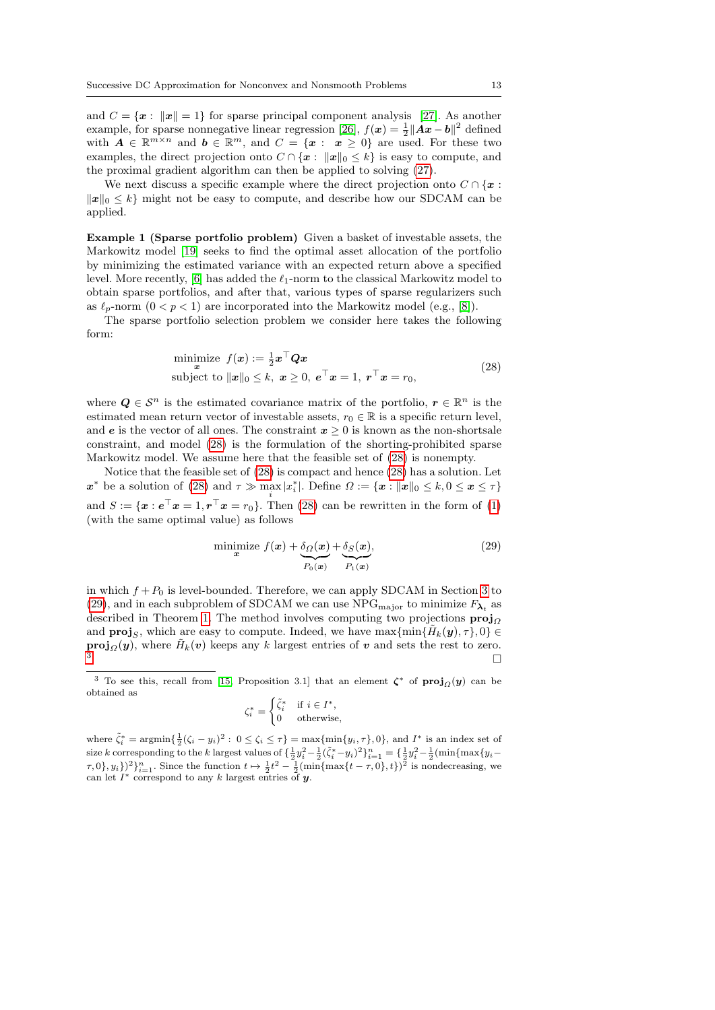and  $C = \{x : ||x|| = 1\}$  for sparse principal component analysis [\[27\]](#page-24-3). As another example, for sparse nonnegative linear regression [\[26\]](#page-24-4),  $f(x) = \frac{1}{2} ||Ax - b||^2$  defined with  $A \in \mathbb{R}^{m \times n}$  and  $b \in \mathbb{R}^m$ , and  $C = \{x : x \geq 0\}$  are used. For these two examples, the direct projection onto  $C \cap \{x : ||x||_0 \leq k\}$  is easy to compute, and the proximal gradient algorithm can then be applied to solving [\(27\)](#page-11-3).

We next discuss a specific example where the direct projection onto  $C \cap \{x :$  $||x||_0 \le k$  might not be easy to compute, and describe how our SDCAM can be applied.

<span id="page-12-3"></span>Example 1 (Sparse portfolio problem) Given a basket of investable assets, the Markowitz model [\[19\]](#page-23-15) seeks to find the optimal asset allocation of the portfolio by minimizing the estimated variance with an expected return above a specified level. More recently, [\[6\]](#page-23-16) has added the  $\ell_1$ -norm to the classical Markowitz model to obtain sparse portfolios, and after that, various types of sparse regularizers such as  $\ell_p$ -norm  $(0 < p < 1)$  are incorporated into the Markowitz model (e.g., [\[8\]](#page-23-17)).

The sparse portfolio selection problem we consider here takes the following form:

<span id="page-12-0"></span>minimize 
$$
f(\mathbf{x}) := \frac{1}{2} \mathbf{x}^\top \mathbf{Q} \mathbf{x}
$$
  
subject to  $||\mathbf{x}||_0 \le k$ ,  $\mathbf{x} \ge 0$ ,  $\mathbf{e}^\top \mathbf{x} = 1$ ,  $\mathbf{r}^\top \mathbf{x} = r_0$ , (28)

where  $Q \in \mathcal{S}^n$  is the estimated covariance matrix of the portfolio,  $r \in \mathbb{R}^n$  is the estimated mean return vector of investable assets,  $r_0 \in \mathbb{R}$  is a specific return level, and e is the vector of all ones. The constraint  $x > 0$  is known as the non-shortsale constraint, and model [\(28\)](#page-12-0) is the formulation of the shorting-prohibited sparse Markowitz model. We assume here that the feasible set of [\(28\)](#page-12-0) is nonempty.

Notice that the feasible set of [\(28\)](#page-12-0) is compact and hence [\(28\)](#page-12-0) has a solution. Let  $\boldsymbol{x}^*$  be a solution of [\(28\)](#page-12-0) and  $\tau \gg \max_i |x_i^*|$ . Define  $\Omega := \{\boldsymbol{x} : ||\boldsymbol{x}||_0 \leq k, 0 \leq \boldsymbol{x} \leq \tau\}$ and  $S := {\mathbf{x} : e^{\top} x = 1, r^{\top} x = r_0}$ . Then [\(28\)](#page-12-0) can be rewritten in the form of [\(1\)](#page-1-0) (with the same optimal value) as follows

<span id="page-12-1"></span>
$$
\underset{\mathbf{x}}{\text{minimize}}\ f(\mathbf{x}) + \underbrace{\delta_{\Omega}(\mathbf{x})}_{P_0(\mathbf{x})} + \underbrace{\delta_{S}(\mathbf{x})}_{P_1(\mathbf{x})},\tag{29}
$$

in which  $f + P_0$  is level-bounded. Therefore, we can apply SDCAM in Section [3](#page-4-0) to [\(29\)](#page-12-1), and in each subproblem of SDCAM we can use NPG<sub>major</sub> to minimize  $F_{\lambda_t}$  as described in Theorem [1.](#page-7-1) The method involves computing two projections  $proj_{\Omega}$ and **proj**<sub>S</sub>, which are easy to compute. Indeed, we have  $\max{\min{\{\tilde{H}_k(\boldsymbol{y}), \tau\}, 0\}} \in$ **proj** $_Q(y)$ , where  $\tilde{H}_k(v)$  keeps any k largest entries of v and sets the rest to zero.  $3 \qquad \qquad \Box$  $3 \qquad \qquad \Box$ 

$$
\zeta_i^* = \begin{cases} \tilde{\zeta}_i^* & \text{if } i \in I^*, \\ 0 & \text{otherwise,} \end{cases}
$$

where  $\tilde{\zeta}_i^* = \operatorname{argmin}\{\frac{1}{2}(\zeta_i - y_i)^2 : 0 \le \zeta_i \le \tau\} = \max\{\min\{y_i, \tau\}, 0\}$ , and  $I^*$  is an index set of where  $\zeta_i = \arg \min_{1 \leq j \leq k} \frac{1}{2} y_i^j - \frac{1}{2} \left( \sum_{j=1}^k y_i^2 - \frac{1}{2} (\zeta_i^* - y_i)^2 \right)_{i=1}^n = \left\{ \frac{1}{2} y_i^2 - \frac{1}{2} (\min \{ \max \{ y_i \} - \frac{1}{2} (\zeta_i^* - y_i)^2 \} \right\}$  $(\tau, 0\}, y_i)$ )<sup>2</sup> $\}_{i=1}^n$ . Since the function  $t \mapsto \frac{1}{2}t^2 - \frac{1}{2}(\min\{\max\{t-\tau, 0\}, t\})^2$  is nondecreasing, we can let  $I^*$  correspond to any k largest entries of y.

<span id="page-12-2"></span><sup>&</sup>lt;sup>3</sup> To see this, recall from [\[15,](#page-23-13) Proposition 3.1] that an element  $\zeta^*$  of  $\text{proj}_{\Omega}(y)$  can be obtained as  $\lambda$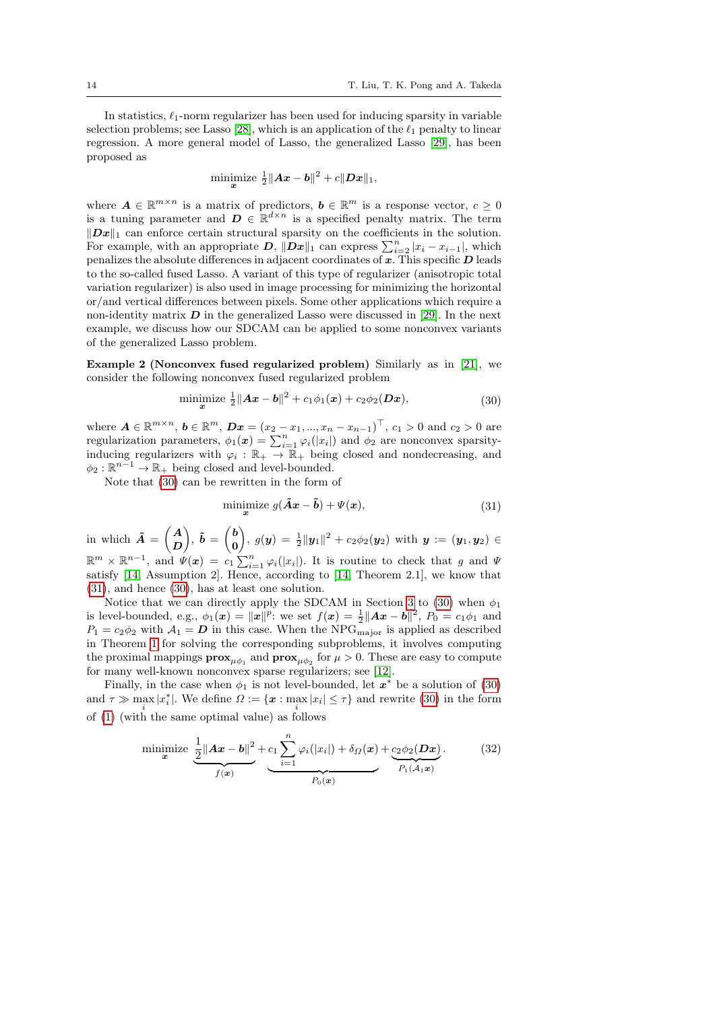In statistics,  $\ell_1$ -norm regularizer has been used for inducing sparsity in variable selection problems; see Lasso [\[28\]](#page-24-5), which is an application of the  $\ell_1$  penalty to linear regression. A more general model of Lasso, the generalized Lasso [\[29\]](#page-24-6), has been proposed as

minimize 
$$
\frac{1}{2} ||Ax - b||^2 + c||Dx||_1
$$
,

where  $A \in \mathbb{R}^{m \times n}$  is a matrix of predictors,  $b \in \mathbb{R}^m$  is a response vector,  $c \geq 0$ is a tuning parameter and  $\mathbf{D} \in \mathbb{R}^{d \times n}$  is a specified penalty matrix. The term  $||Dx||_1$  can enforce certain structural sparsity on the coefficients in the solution. For example, with an appropriate  $D$ ,  $\|\hat{D}\mathbf{x}\|_1$  can express  $\sum_{i=2}^n |x_i - x_{i-1}|$ , which penalizes the absolute differences in adjacent coordinates of  $x$ . This specific  $D$  leads to the so-called fused Lasso. A variant of this type of regularizer (anisotropic total variation regularizer) is also used in image processing for minimizing the horizontal or/and vertical differences between pixels. Some other applications which require a non-identity matrix  $\boldsymbol{D}$  in the generalized Lasso were discussed in [\[29\]](#page-24-6). In the next example, we discuss how our SDCAM can be applied to some nonconvex variants of the generalized Lasso problem.

<span id="page-13-0"></span>Example 2 (Nonconvex fused regularized problem) Similarly as in [\[21\]](#page-23-1), we consider the following nonconvex fused regularized problem

minimize 
$$
\frac{1}{2} ||Ax - b||^2 + c_1 \phi_1(x) + c_2 \phi_2(Dx),
$$
 (30)

where  $A \in \mathbb{R}^{m \times n}$ ,  $b \in \mathbb{R}^m$ ,  $Dx = (x_2 - x_1, ..., x_n - x_{n-1})^\top$ ,  $c_1 > 0$  and  $c_2 > 0$  are regularization parameters,  $\phi_1(x) = \sum_{i=1}^n \varphi_i(|x_i|)$  and  $\phi_2$  are nonconvex sparsityinducing regularizers with  $\varphi_i : \mathbb{R}_+ \to \mathbb{R}_+$  being closed and nondecreasing, and  $\phi_2 : \mathbb{R}^{n-1} \to \mathbb{R}_+$  being closed and level-bounded.

Note that [\(30\)](#page-13-1) can be rewritten in the form of

<span id="page-13-2"></span><span id="page-13-1"></span>
$$
\underset{\mathbf{x}}{\text{minimize}}\ g(\tilde{\mathbf{A}}\mathbf{x} - \tilde{\mathbf{b}}) + \Psi(\mathbf{x}),\tag{31}
$$

in which  $\tilde{A} = \begin{pmatrix} A \\ D \end{pmatrix}$ D  $\Big), \ \tilde{b} = \begin{pmatrix} b \\ c \end{pmatrix}$ 0  $\Big), \ g(\bm{y}) \, = \, \frac{1}{2} \| \bm{y}_1 \|^2 + c_2 \phi_2(\bm{y}_2) \, \text{ with } \, \bm{y} \, := \, (\bm{y}_1, \bm{y}_2) \, \in \, \mathbb{R}$  $\mathbb{R}^m \times \mathbb{R}^{n-1}$ , and  $\psi(x) = c_1 \sum_{i=1}^n \varphi_i(|x_i|)$ . It is routine to check that g and  $\Psi$ satisfy [\[14,](#page-23-18) Assumption 2]. Hence, according to [\[14,](#page-23-18) Theorem 2.1], we know that [\(31\)](#page-13-2), and hence [\(30\)](#page-13-1), has at least one solution.

Notice that we can directly apply the SDCAM in Section [3](#page-4-0) to [\(30\)](#page-13-1) when  $\phi_1$ is level-bounded, e.g.,  $\phi_1(x) = ||x||^p$ : we set  $f(x) = \frac{1}{2} ||Ax - b||^2$ ,  $P_0 = c_1 \phi_1$  and  $P_1 = c_2 \phi_2$  with  $\mathcal{A}_1 = D$  in this case. When the NPG<sub>major</sub> is applied as described in Theorem [1](#page-7-1) for solving the corresponding subproblems, it involves computing the proximal mappings  $\mathbf{prox}_{\mu \phi_1}$  and  $\mathbf{prox}_{\mu \phi_2}$  for  $\mu > 0$ . These are easy to compute for many well-known nonconvex sparse regularizers; see [\[12\]](#page-23-19).

Finally, in the case when  $\phi_1$  is not level-bounded, let  $x^*$  be a solution of [\(30\)](#page-13-1) and  $\tau \gg \max_i |x_i^*|$ . We define  $\Omega := \{x : \max_i |x_i| \leq \tau\}$  and rewrite [\(30\)](#page-13-1) in the form of [\(1\)](#page-1-0) (with the same optimal value) as follows

minimize 
$$
\underbrace{\frac{1}{2} ||Ax - b||^2}_{f(x)} + \underbrace{c_1 \sum_{i=1}^n \varphi_i(|x_i|) + \delta_{\Omega}(x)}_{P_0(x)} + \underbrace{c_2 \phi_2(Dx)}_{P_1(A_1x)}.
$$
 (32)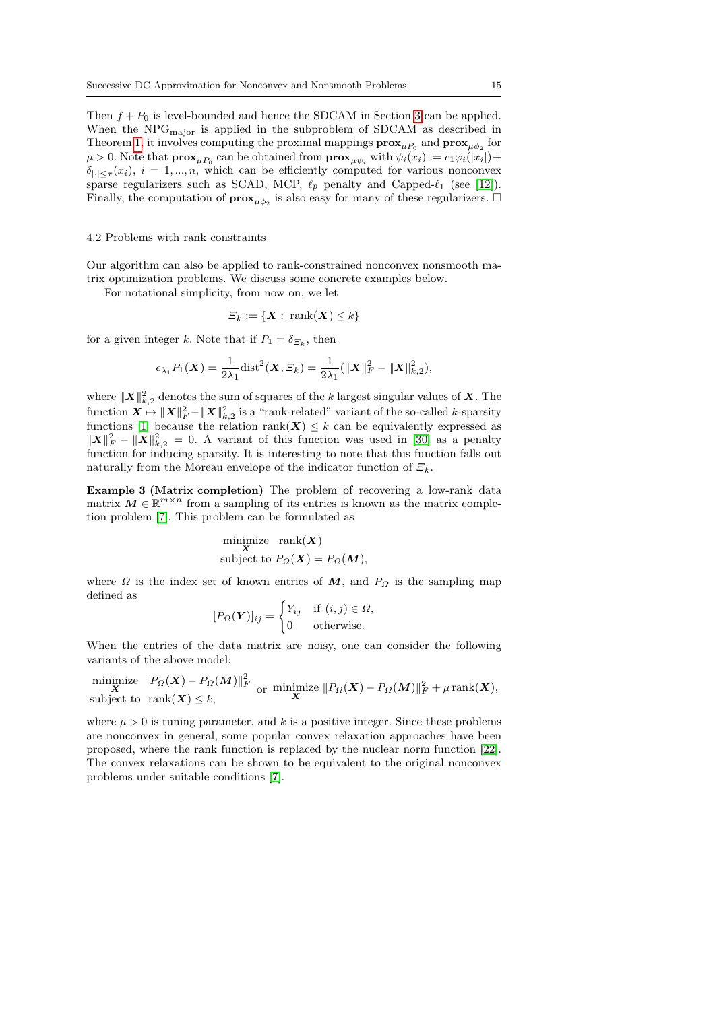Then  $f + P_0$  is level-bounded and hence the SDCAM in Section [3](#page-4-0) can be applied. When the  $NPG<sub>major</sub>$  is applied in the subproblem of SDCAM as described in Theorem [1,](#page-7-1) it involves computing the proximal mappings  $\mathbf{prox}_{\mu P_0}$  and  $\mathbf{prox}_{\mu \phi_2}$  for  $\mu > 0$ . Note that  $\mathbf{prox}_{\mu P_0}$  can be obtained from  $\mathbf{prox}_{\mu \psi_i}$  with  $\psi_i(x_i) := c_1 \varphi_i(|x_i|) +$  $\delta_{|\cdot| \leq \tau}(x_i), i = 1, ..., n$ , which can be efficiently computed for various nonconvex sparse regularizers such as SCAD, MCP,  $\ell_p$  penalty and Capped- $\ell_1$  (see [\[12\]](#page-23-19)). Finally, the computation of  $\mathbf{prox}_{\mu\phi_2}$  is also easy for many of these regularizers.

#### 4.2 Problems with rank constraints

Our algorithm can also be applied to rank-constrained nonconvex nonsmooth matrix optimization problems. We discuss some concrete examples below.

For notational simplicity, from now on, we let

$$
\varXi_k:=\{\boldsymbol{X}:~\mathrm{rank}(\boldsymbol{X})\leq k\}
$$

for a given integer k. Note that if  $P_1 = \delta_{\Xi_k}$ , then

$$
e_{\lambda_1} P_1(\boldsymbol{X}) = \frac{1}{2\lambda_1} \text{dist}^2(\boldsymbol{X}, \Xi_k) = \frac{1}{2\lambda_1} (\|\boldsymbol{X}\|_F^2 - \|\boldsymbol{X}\|_{k,2}^2),
$$

where  $|\!|\!| \boldsymbol X |\!|\!|^2_{k,2}$  denotes the sum of squares of the  $k$  largest singular values of  $\boldsymbol X.$  The  $\text{function } \bm{X} \mapsto \|\bm{X}\|_F^2 - \|\bm{X}\|_{k,2}^2 \text{ is a "rank-related" variant of the so-called } k\text{-sparsity}$ functions [\[1\]](#page-23-20) because the relation rank( $X$ )  $\leq k$  can be equivalently expressed as  $||\boldsymbol{X}||_F^2 - ||\boldsymbol{X}||_{k,2}^2 = 0$ . A variant of this function was used in [\[30\]](#page-24-2) as a penalty function for inducing sparsity. It is interesting to note that this function falls out naturally from the Moreau envelope of the indicator function of  $\mathcal{E}_k$ .

<span id="page-14-0"></span>Example 3 (Matrix completion) The problem of recovering a low-rank data matrix  $M \in \mathbb{R}^{m \times n}$  from a sampling of its entries is known as the matrix completion problem [\[7\]](#page-23-21). This problem can be formulated as

$$
\begin{aligned}\n\text{minimize} & \quad \text{rank}(\boldsymbol{X}) \\
\text{subject to } & \quad P_{\Omega}(\boldsymbol{X}) = P_{\Omega}(M),\n\end{aligned}
$$

where  $\Omega$  is the index set of known entries of M, and  $P_{\Omega}$  is the sampling map defined as

$$
[P_{\Omega}(\boldsymbol{Y})]_{ij} = \begin{cases} Y_{ij} & \text{if } (i,j) \in \Omega, \\ 0 & \text{otherwise.} \end{cases}
$$

When the entries of the data matrix are noisy, one can consider the following variants of the above model:

minimize 
$$
||P_{\Omega}(X) - P_{\Omega}(M)||_F^2
$$
  
subject to rank $(X) \le k$ ,

where  $\mu > 0$  is tuning parameter, and k is a positive integer. Since these problems are nonconvex in general, some popular convex relaxation approaches have been proposed, where the rank function is replaced by the nuclear norm function [\[22\]](#page-23-22). The convex relaxations can be shown to be equivalent to the original nonconvex problems under suitable conditions [\[7\]](#page-23-21).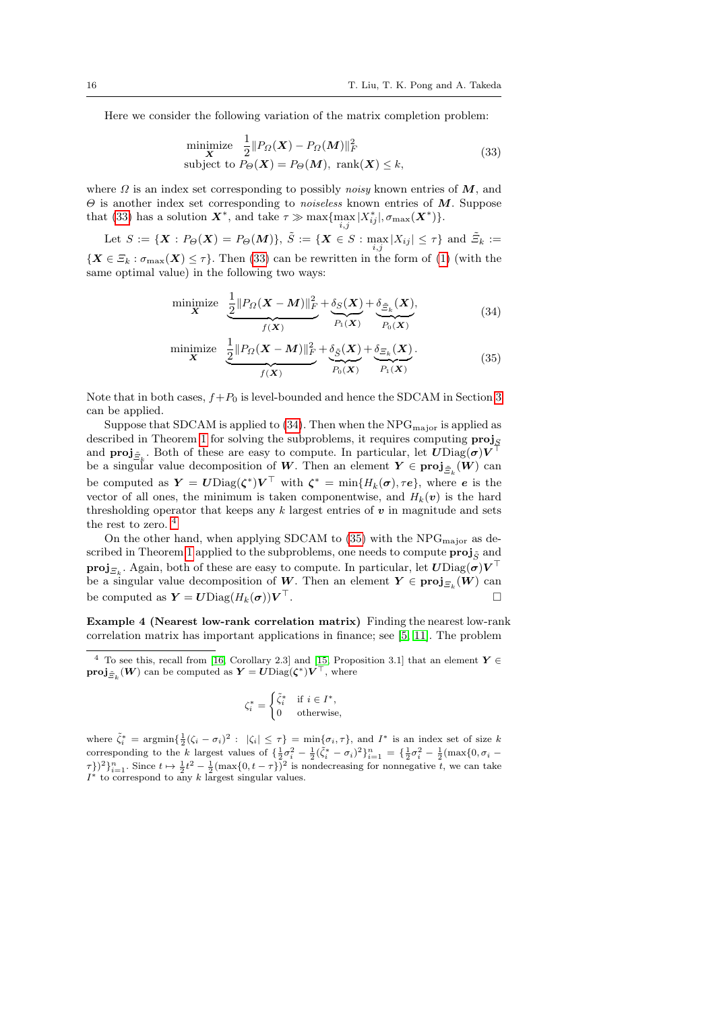Here we consider the following variation of the matrix completion problem:

<span id="page-15-0"></span>minimize 
$$
\frac{1}{2} ||P_{\Omega}(\boldsymbol{X}) - P_{\Omega}(M)||_F^2
$$
  
subject to  $P_{\Theta}(\boldsymbol{X}) = P_{\Theta}(M)$ , rank $(\boldsymbol{X}) \leq k$ , (33)

where  $\Omega$  is an index set corresponding to possibly noisy known entries of  $M$ , and  $\Theta$  is another index set corresponding to *noiseless* known entries of  $M$ . Suppose that [\(33\)](#page-15-0) has a solution  $\mathbf{X}^*$ , and take  $\tau \gg \max\{\max_{i} |X^*_{ij}|, \sigma_{\max}(\mathbf{X}^*)\}.$ 

Let  $S := \{ \mathbf{X} : P_{\Theta}(\mathbf{X}) = P_{\Theta}(M) \}, \ \tilde{S} := \{ \mathbf{X} \in S : \max_{i,j} |X_{ij}| \leq \tau \}$  and  $\tilde{\Xi}_k :=$  ${X \in \mathcal{Z}_k : \sigma_{\max}(\boldsymbol{X}) \leq \tau}.$  Then [\(33\)](#page-15-0) can be rewritten in the form of [\(1\)](#page-1-0) (with the same optimal value) in the following two ways:

<span id="page-15-1"></span>
$$
\begin{array}{ll}\text{minimize} & \frac{1}{2} \| P_{\Omega}(\mathbf{X} - \mathbf{M}) \|_{F}^{2} + \underbrace{\delta_{S}(\mathbf{X})}_{P_{1}(\mathbf{X})} + \underbrace{\delta_{\tilde{\Xi}_{k}}(\mathbf{X})}_{P_{0}(\mathbf{X})}, \end{array} \tag{34}
$$

<span id="page-15-3"></span>
$$
\begin{array}{ll}\text{minimize} & \frac{1}{2} \| P_{\Omega}(\mathbf{X} - \mathbf{M}) \|_{F}^{2} + \underbrace{\delta_{\tilde{S}}(\mathbf{X})}_{P_{0}(\mathbf{X})} + \underbrace{\delta_{\Xi_{k}}(\mathbf{X})}_{P_{1}(\mathbf{X})}.\end{array} \tag{35}
$$

Note that in both cases,  $f+P_0$  is level-bounded and hence the SDCAM in Section [3](#page-4-0) can be applied.

Suppose that SDCAM is applied to  $(34)$ . Then when the NPG<sub>major</sub> is applied as described in Theorem [1](#page-7-1) for solving the subproblems, it requires computing  $\text{proj}_{S}$ and  $\text{proj}_{\tilde{\Xi}_k}$ . Both of these are easy to compute. In particular, let  $U \text{Diag}(\sigma) V^{\top}$ be a singular value decomposition of W. Then an element  $Y \in \text{proj}_{\tilde{\Xi}_k}(W)$  can be computed as  $\boldsymbol{Y} = \boldsymbol{U} \text{Diag}(\boldsymbol{\zeta}^*) \boldsymbol{V}^\top$  with  $\boldsymbol{\zeta}^* = \min\{H_k(\boldsymbol{\sigma}), \tau \boldsymbol{e}\},\$  where  $\boldsymbol{e}$  is the vector of all ones, the minimum is taken componentwise, and  $H_k(v)$  is the hard thresholding operator that keeps any  $k$  largest entries of  $v$  in magnitude and sets the rest to zero.  $^4\,$  $^4\,$  $^4\,$ 

On the other hand, when applying SDCAM to  $(35)$  with the NPG<sub>major</sub> as de-scribed in Theorem [1](#page-7-1) applied to the subproblems, one needs to compute  $\mathbf{proj}_{\tilde{S}}$  and  $\textbf{proj}_{\Xi_k}$ . Again, both of these are easy to compute. In particular, let  $\bm{U} \text{Diag}(\bm{\sigma}) \bm{V}^\top$ be a singular value decomposition of W. Then an element  $Y \in \text{proj}_{\mathcal{Z}_k}(W)$  can be computed as  $\boldsymbol{Y} = \boldsymbol{U} \text{Diag}(H_k(\boldsymbol{\sigma})) \boldsymbol{V}^\top$ .  $\mathbb{T}$ , the contract of the contract of  $\Box$ 

Example 4 (Nearest low-rank correlation matrix) Finding the nearest low-rank correlation matrix has important applications in finance; see [\[5,](#page-23-23) [11\]](#page-23-24). The problem

$$
\zeta_i^* = \begin{cases} \tilde{\zeta}_i^* & \text{if } i \in I^*, \\ 0 & \text{otherwise}, \end{cases}
$$

where  $\tilde{\zeta}_i^* = \operatorname{argmin} \{ \frac{1}{2} (\zeta_i - \sigma_i)^2 : |\zeta_i| \leq \tau \} = \min \{ \sigma_i, \tau \}, \text{ and } I^* \text{ is an index set of size } k$ corresponding to the k largest values of  $\{\frac{1}{2}\sigma_i^2 - \frac{1}{2}(\tilde{\zeta}_i^* - \sigma_i)^2\}_{i=1}^n = \{\frac{1}{2}\sigma_i^2 - \frac{1}{2}(\max\{0, \sigma_i - \sigma_i\})\}$  $\{\tau\})^2\}_{i=1}^n$ . Since  $t \mapsto \frac{1}{2}t^2 - \frac{1}{2}(\max\{0, t - \tau\})^2$  is nondecreasing for nonnegative t, we can take  $I^*$  to correspond to any k largest singular values.

<span id="page-15-2"></span><sup>&</sup>lt;sup>4</sup> To see this, recall from [\[16,](#page-23-25) Corollary 2.3] and [\[15,](#page-23-13) Proposition 3.1] that an element  $\boldsymbol{Y} \in$  $\textbf{proj}_{\tilde{\Xi}_k}(\boldsymbol{W})$  can be computed as  $\boldsymbol{Y} = \boldsymbol{U} \text{Diag}(\boldsymbol{\zeta}^*) \boldsymbol{V}^\top$ , where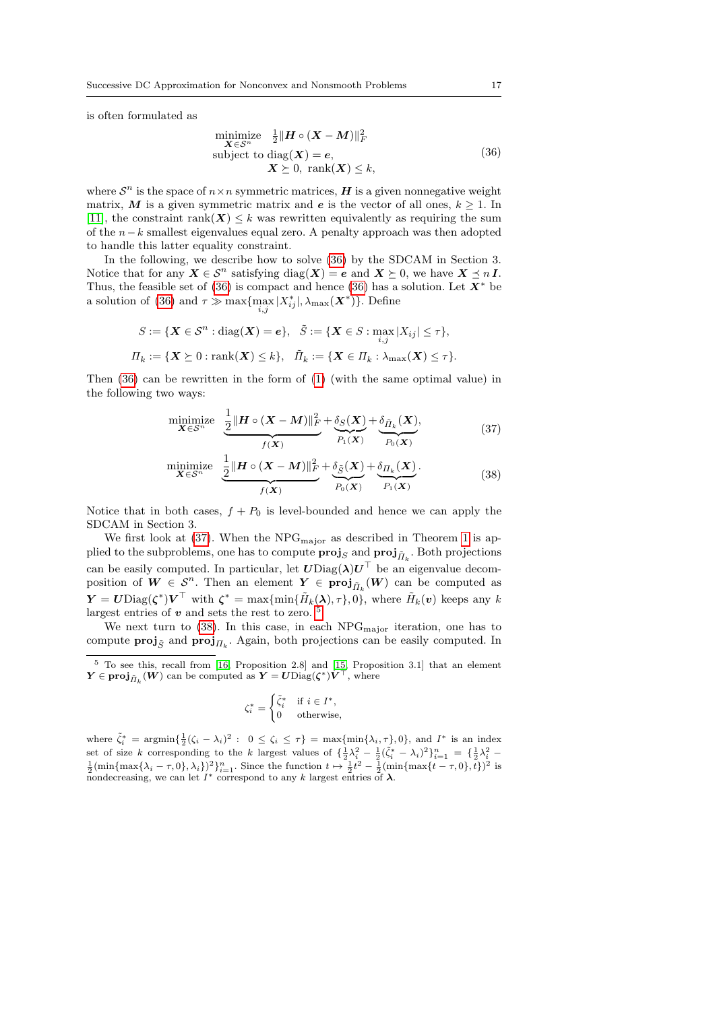is often formulated as

<span id="page-16-0"></span>
$$
\begin{array}{ll}\n\text{minimize} & \frac{1}{2} \| H \circ (X - M) \|_F^2 \\
\text{subject to } & \text{diag}(X) = e, \\
& X \succeq 0, \text{ rank}(X) \leq k,\n\end{array} \tag{36}
$$

where  $S^n$  is the space of  $n \times n$  symmetric matrices, H is a given nonnegative weight matrix, M is a given symmetric matrix and e is the vector of all ones,  $k \geq 1$ . In [\[11\]](#page-23-24), the constraint rank $(X) \leq k$  was rewritten equivalently as requiring the sum of the n−k smallest eigenvalues equal zero. A penalty approach was then adopted to handle this latter equality constraint.

In the following, we describe how to solve [\(36\)](#page-16-0) by the SDCAM in Section 3. Notice that for any  $X \in \mathcal{S}^n$  satisfying  $\text{diag}(\boldsymbol{X}) = \boldsymbol{e}$  and  $\boldsymbol{X} \succeq 0$ , we have  $\boldsymbol{X} \preceq n \boldsymbol{I}$ . Thus, the feasible set of [\(36\)](#page-16-0) is compact and hence (36) has a solution. Let  $X^*$  be a solution of [\(36\)](#page-16-0) and  $\tau \gg \max\{\max_{i,j}|X^*_{ij}|, \lambda_{\max}(\boldsymbol{X}^*)\}$ . Define

$$
S := \{ \mathbf{X} \in \mathcal{S}^n : \text{diag}(\mathbf{X}) = \mathbf{e} \}, \quad \tilde{S} := \{ \mathbf{X} \in S : \max_{i,j} |X_{ij}| \leq \tau \},
$$
  

$$
\Pi_k := \{ \mathbf{X} \succeq 0 : \text{rank}(\mathbf{X}) \leq k \}, \quad \tilde{\Pi}_k := \{ \mathbf{X} \in \Pi_k : \lambda_{\text{max}}(\mathbf{X}) \leq \tau \}.
$$

Then [\(36\)](#page-16-0) can be rewritten in the form of [\(1\)](#page-1-0) (with the same optimal value) in the following two ways:

<span id="page-16-1"></span>
$$
\underset{\mathbf{X}\in\mathcal{S}^n}{\text{minimize}} \quad \underbrace{\frac{1}{2} \|\mathbf{H}\circ(\mathbf{X}-\mathbf{M})\|_F^2}_{f(\mathbf{X})} + \underbrace{\delta_S(\mathbf{X})}_{P_1(\mathbf{X})} + \underbrace{\delta_{\tilde{\mathbf{H}}_k}(\mathbf{X})}_{P_0(\mathbf{X})},\tag{37}
$$

<span id="page-16-3"></span>
$$
\underset{\mathbf{X}\in\mathcal{S}^n}{\text{minimize}} \quad \underbrace{\frac{1}{2} \|\mathbf{H}\circ(\mathbf{X}-\mathbf{M})\|_F^2}_{f(\mathbf{X})} + \underbrace{\delta_{\tilde{S}}(\mathbf{X})}_{P_0(\mathbf{X})} + \underbrace{\delta_{\Pi_k}(\mathbf{X})}_{P_1(\mathbf{X})}.
$$
\n(38)

Notice that in both cases,  $f + P_0$  is level-bounded and hence we can apply the SDCAM in Section 3.

We first look at  $(37)$ . When the NPG<sub>major</sub> as described in Theorem [1](#page-7-1) is applied to the subproblems, one has to compute  $\mathbf{proj}_S$  and  $\mathbf{proj}_{\tilde{H}_k}$ . Both projections can be easily computed. In particular, let  $U\text{Diag}(\lambda)U^\top$  be an eigenvalue decomposition of  $W \in \mathcal{S}^n$ . Then an element  $Y \in \text{proj}_{\tilde{\Pi}_k}(W)$  can be computed as  $\boldsymbol{Y} = \boldsymbol{U} \text{Diag}(\boldsymbol{\zeta}^*) \boldsymbol{V}^\top \text{ with } \boldsymbol{\zeta}^* = \max \{ \min \{ \tilde{H}_k(\boldsymbol{\lambda}), \tau \}, 0 \}, \text{ where } \tilde{H}_k(\boldsymbol{v}) \text{ keeps any } k$ largest entries of  $v$  and sets the rest to zero.  $5$ 

We next turn to  $(38)$ . In this case, in each NPG<sub>major</sub> iteration, one has to compute  $\text{proj}_{\tilde{S}}$  and  $\text{proj}_{\Pi_k}$ . Again, both projections can be easily computed. In

$$
\zeta_i^* = \begin{cases} \tilde{\zeta}_i^* & \text{if } i \in I^*, \\ 0 & \text{otherwise,} \end{cases}
$$

where  $\tilde{\zeta}_i^* = \operatorname{argmin}\left\{\frac{1}{2}(\zeta_i - \lambda_i)^2 : 0 \leq \zeta_i \leq \tau\right\} = \max\{\min\{\lambda_i, \tau\}, 0\}$ , and  $I^*$  is an index set of size k corresponding to the k largest values of  $\{\frac{1}{2}\lambda_i^2 - \frac{1}{2}(\tilde{\zeta}_i^* - \lambda_i)^2\}_{i=1}^n = \{\frac{1}{2}\lambda_i^2 - \frac{1}{2}(\min\{\max\{\lambda_i - \tau, 0\}, \lambda_i\})^2\}_{i=1}^n$ . Since the function  $t \mapsto \frac{1}{2}t^2 - \frac{1}{2}(\min\{\max\{t - \tau, 0\}, t\})^2$  nondecreasing, we can let  $I^*$  correspond to any k largest entries of  $\lambda$ .

<span id="page-16-2"></span> $5$  To see this, recall from [\[16,](#page-23-25) Proposition 2.8] and [\[15,](#page-23-13) Proposition 3.1] that an element  $\boldsymbol{Y} \in \boldsymbol{\mathrm{proj}}_{\tilde{H}_k}(\boldsymbol{W})$  can be computed as  $\boldsymbol{Y} = \boldsymbol{U} \mathrm{Diag}(\boldsymbol{\zeta}^*) \tilde{\boldsymbol{V}}^{\top}$ , where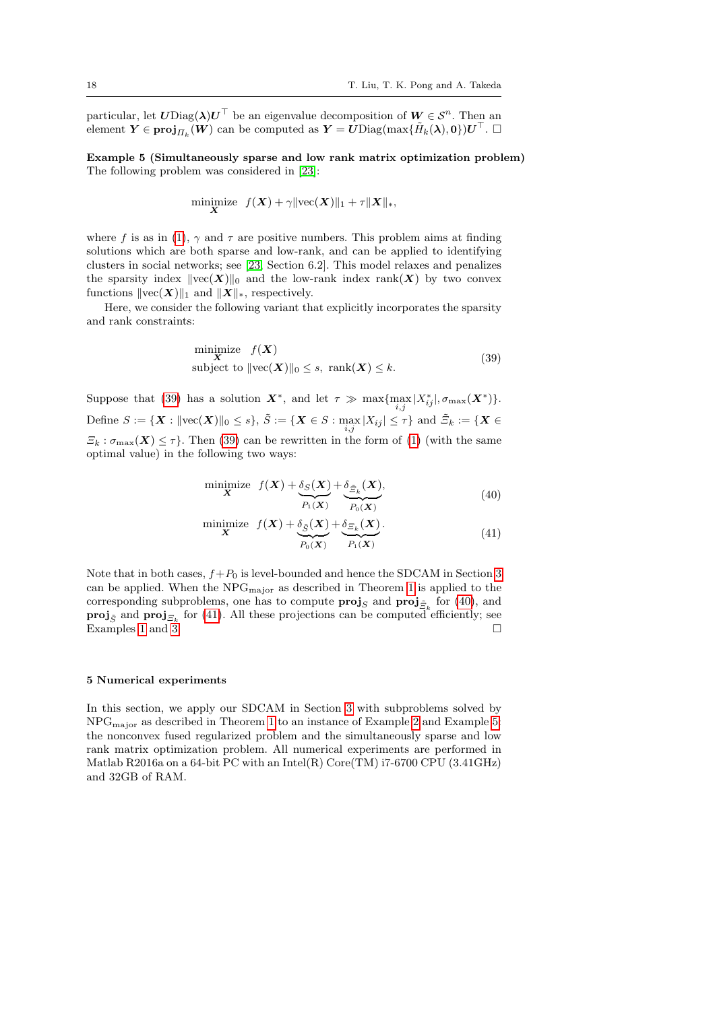particular, let  $U \text{Diag}(\lambda) U^{\top}$  be an eigenvalue decomposition of  $W \in \mathcal{S}^n$ . Then an  $\text{element }\bm{Y}\in \textbf{proj}_{\Pi_k}(\bm{W}) \text{ can be computed as }\bm{Y}=\bm{U}\text{Diag}(\max\{\tilde{H}_k(\bm{\lambda}),\bm{0}\})\bm{U}^\top. \ \Box$ 

<span id="page-17-0"></span>Example 5 (Simultaneously sparse and low rank matrix optimization problem) The following problem was considered in [\[23\]](#page-23-2):

$$
\underset{\mathbf{X}}{\text{minimize}} \quad f(\mathbf{X}) + \gamma \|\text{vec}(\mathbf{X})\|_1 + \tau \|\mathbf{X}\|_*,
$$

where f is as in [\(1\)](#page-1-0),  $\gamma$  and  $\tau$  are positive numbers. This problem aims at finding solutions which are both sparse and low-rank, and can be applied to identifying clusters in social networks; see [\[23,](#page-23-2) Section 6.2]. This model relaxes and penalizes the sparsity index  $\|{\rm vec}(\boldsymbol{X})\|_0$  and the low-rank index rank(X) by two convex functions  $\|\text{vec}(\boldsymbol{X})\|_1$  and  $\|\boldsymbol{X}\|_*$ , respectively.

Here, we consider the following variant that explicitly incorporates the sparsity and rank constraints:

<span id="page-17-2"></span>
$$
\begin{array}{ll}\n\text{minimize} & f(\mathbf{X}) \\
\mathbf{X} & \text{subject to } \|\text{vec}(\mathbf{X})\|_0 \le s, \text{ } \text{rank}(\mathbf{X}) \le k.\n\end{array} \tag{39}
$$

Suppose that [\(39\)](#page-17-2) has a solution  $X^*$ , and let  $\tau \gg \max\{\max_{i,j}|X^*_{ij}|, \sigma_{\max}(X^*)\}.$ Define  $S := \{ \mathbf{X} : ||\text{vec}(\mathbf{X})||_0 \leq s \}, \ \tilde{S} := \{ \mathbf{X} \in S : \max_{i,j} |X_{ij}| \leq \tau \} \text{ and } \tilde{\Xi}_k := \{ \mathbf{X} \in S \}$  $\mathcal{Z}_k : \sigma_{\max}(\boldsymbol{X}) \leq \tau$ . Then [\(39\)](#page-17-2) can be rewritten in the form of [\(1\)](#page-1-0) (with the same optimal value) in the following two ways:

<span id="page-17-3"></span>
$$
\begin{array}{ll}\text{minimize} & f(\mathbf{X}) + \underbrace{\delta_S(\mathbf{X})}_{P_1(\mathbf{X})} + \underbrace{\delta_{\tilde{\Xi}_k}(\mathbf{X})}_{P_0(\mathbf{X})}, \end{array} \tag{40}
$$

<span id="page-17-4"></span>
$$
\underset{\mathbf{X}}{\text{minimize}} \quad f(\mathbf{X}) + \underbrace{\delta_{\tilde{S}}(\mathbf{X})}_{P_0(\mathbf{X})} + \underbrace{\delta_{\Xi_k}(\mathbf{X})}_{P_1(\mathbf{X})}.
$$
\n
$$
(41)
$$

Note that in both cases,  $f+P_0$  is level-bounded and hence the SDCAM in Section [3](#page-4-0) can be applied. When the  $NPG<sub>major</sub>$  as described in Theorem [1](#page-7-1) is applied to the corresponding subproblems, one has to compute  $\mathbf{proj}_S$  and  $\mathbf{proj}_{\tilde{Z}_k}$  for [\(40\)](#page-17-3), and **proj**<sub> $\tilde{S}$ </sub> and **proj**<sub> $\Xi_k$ </sub> for [\(41\)](#page-17-4). All these projections can be computed efficiently; see Examples [1](#page-12-3) and [3.](#page-14-0)

#### <span id="page-17-1"></span>5 Numerical experiments

In this section, we apply our SDCAM in Section [3](#page-4-0) with subproblems solved by NPGmajor as described in Theorem [1](#page-7-1) to an instance of Example [2](#page-13-0) and Example [5:](#page-17-0) the nonconvex fused regularized problem and the simultaneously sparse and low rank matrix optimization problem. All numerical experiments are performed in Matlab R2016a on a 64-bit PC with an Intel(R) Core(TM)  $i7-6700$  CPU (3.41GHz) and 32GB of RAM.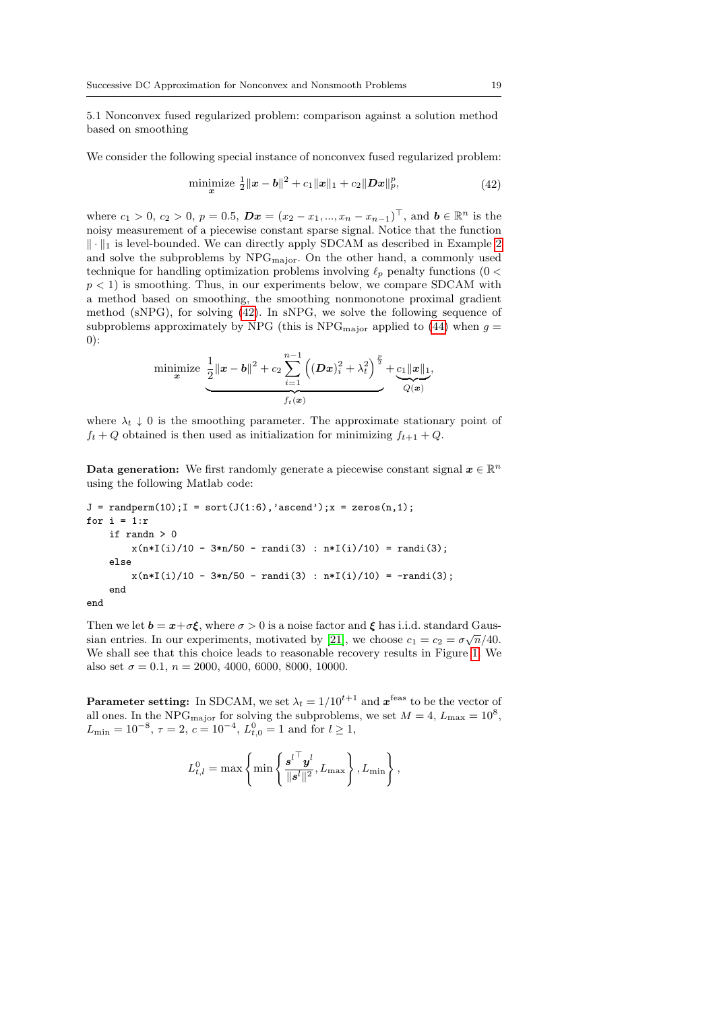<span id="page-18-1"></span>5.1 Nonconvex fused regularized problem: comparison against a solution method based on smoothing

We consider the following special instance of nonconvex fused regularized problem:

<span id="page-18-0"></span>minimize 
$$
\frac{1}{2} ||\mathbf{x} - \mathbf{b}||^2 + c_1 ||\mathbf{x}||_1 + c_2 ||\mathbf{D}\mathbf{x}||_p^p,
$$
 (42)

where  $c_1 > 0$ ,  $c_2 > 0$ ,  $p = 0.5$ ,  $\mathbf{D}x = (x_2 - x_1, ..., x_n - x_{n-1})^\top$ , and  $\mathbf{b} \in \mathbb{R}^n$  is the noisy measurement of a piecewise constant sparse signal. Notice that the function  $\|\cdot\|_1$  is level-bounded. We can directly apply SDCAM as described in Example [2](#page-13-0) and solve the subproblems by  $NPG_{\text{major}}$ . On the other hand, a commonly used technique for handling optimization problems involving  $\ell_p$  penalty functions (0 <  $p < 1$ ) is smoothing. Thus, in our experiments below, we compare SDCAM with a method based on smoothing, the smoothing nonmonotone proximal gradient method (sNPG), for solving [\(42\)](#page-18-0). In sNPG, we solve the following sequence of subproblems approximately by NPG (this is  $NPG_{\text{major}}$  applied to [\(44\)](#page-22-3) when  $g =$ 0):

minimize 
$$
\underbrace{\frac{1}{2} ||x - b||^2 + c_2 \sum_{i=1}^{n-1} ((Dx)_i^2 + \lambda_t^2)^{\frac{p}{2}}}_{f_t(x)} + \underbrace{c_1 ||x||_1}_{Q(x)},
$$

where  $\lambda_t \downarrow 0$  is the smoothing parameter. The approximate stationary point of  $f_t + Q$  obtained is then used as initialization for minimizing  $f_{t+1} + Q$ .

**Data generation:** We first randomly generate a piecewise constant signal  $x \in \mathbb{R}^n$ using the following Matlab code:

```
J = \text{randperm}(10); I = \text{sort}(J(1:6), \text{'ascend'});x = \text{zeros}(n,1);for i = 1:rif randn > 0
         x(n*I(i)/10 - 3*n/50 - randi(3) : n*I(i)/10) = randi(3);else
         x(n*I(i)/10 - 3*n/50 - randi(3) : n*I(i)/10) = -randi(3);end
```
end

Then we let  $\mathbf{b} = \mathbf{x} + \sigma \boldsymbol{\xi}$ , where  $\sigma > 0$  is a noise factor and  $\boldsymbol{\xi}$  has i.i.d. standard Gaus-sian entries. In our experiments, motivated by [\[21\]](#page-23-1), we choose  $c_1 = c_2 = \sigma \sqrt{n}/40$ . We shall see that this choice leads to reasonable recovery results in Figure [1.](#page-20-0) We also set  $\sigma = 0.1$ ,  $n = 2000, 4000, 6000, 8000, 10000$ .

**Parameter setting:** In SDCAM, we set  $\lambda_t = 1/10^{t+1}$  and  $\boldsymbol{x}^{\text{feas}}$  to be the vector of all ones. In the NPG<sub>major</sub> for solving the subproblems, we set  $M = 4$ ,  $L_{\text{max}} = 10^8$ ,  $L_{\text{min}} = 10^{-8}, \tau = 2, c = 10^{-4}, L_{t,0}^0 = 1$  and for  $l \ge 1$ ,

$$
L^0_{t,l} = \max\left\{\min\left\{\frac{{\mathbf{s}^l}^\top\mathbf{y}^l}{\|\mathbf{s}^l\|^2}, L_{\max}\right\}, L_{\min}\right\},\
$$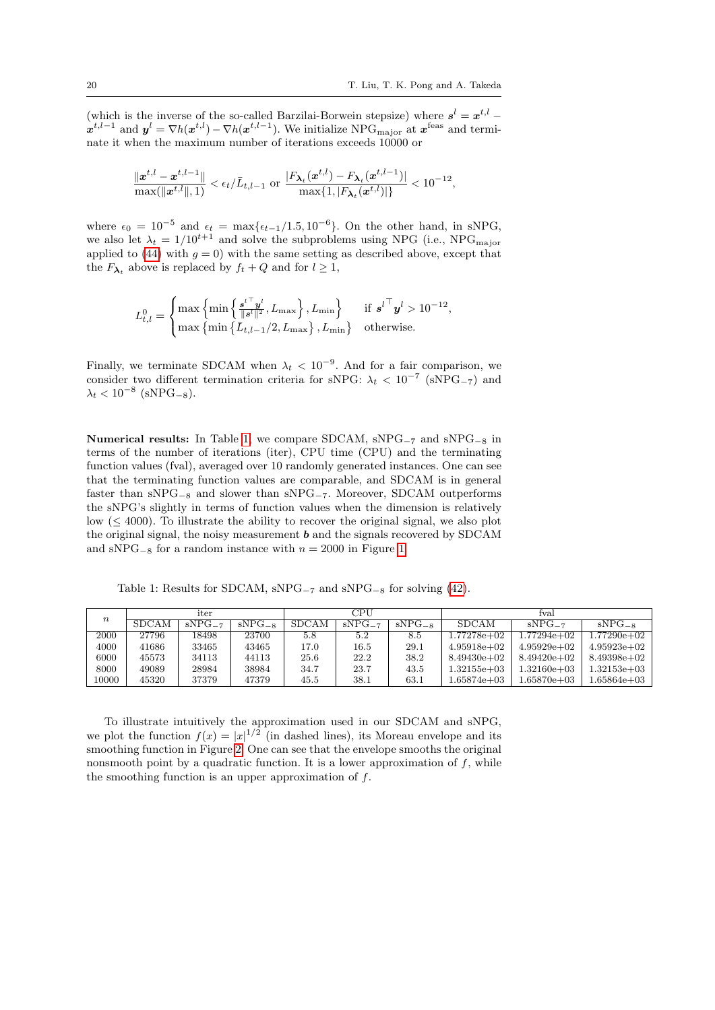(which is the inverse of the so-called Barzilai-Borwein stepsize) where  $s^l = x^{t,l}$  $x^{t,l-1}$  and  $y^l = \nabla h(x^{t,l}) - \nabla h(x^{t,l-1})$ . We initialize NPG<sub>major</sub> at  $x^{\text{feas}}$  and terminate it when the maximum number of iterations exceeds 10000 or

$$
\frac{\|\bm x^{t,l}-\bm x^{t,l-1}\|}{\max(\|\bm x^{t,l}\|,1)} < \epsilon_t/\bar{L}_{t,l-1} \text{ or } \frac{|F_{\bm \lambda_t}(\bm x^{t,l})-F_{\bm \lambda_t}(\bm x^{t,l-1})|}{\max\{1,|F_{\bm \lambda_t}(\bm x^{t,l})|\}} < 10^{-12},
$$

where  $\epsilon_0 = 10^{-5}$  and  $\epsilon_t = \max{\{\epsilon_{t-1}/1.5, 10^{-6}\}}$ . On the other hand, in sNPG, we also let  $\lambda_t = 1/10^{t+1}$  and solve the subproblems using NPG (i.e., NPG<sub>major</sub> applied to [\(44\)](#page-22-3) with  $g = 0$ ) with the same setting as described above, except that the  $F_{\lambda_t}$  above is replaced by  $f_t + Q$  and for  $l \geq 1$ ,

$$
L^0_{t,l} = \begin{cases} \max\left\{\min\left\{\frac{{s^l}^\top {y^l}}{\|{s^l}\|^2}, L_{\max}\right\}, L_{\min}\right\} & \text{if} \ {s^l}^\top {y^l} > 10^{-12}, \\ \max\left\{\min\left\{\bar{L}_{t,l-1}/2, L_{\max}\right\}, L_{\min}\right\} & \text{otherwise.} \end{cases}
$$

Finally, we terminate SDCAM when  $\lambda_t$  < 10<sup>-9</sup>. And for a fair comparison, we consider two different termination criteria for sNPG:  $\lambda_t$  < 10<sup>-7</sup> (sNPG<sub>-7</sub>) and  $\lambda_t < 10^{-8}$  (sNPG<sub>-8</sub>).

Numerical results: In Table [1,](#page-19-0) we compare SDCAM, sNPG−<sup>7</sup> and sNPG−<sup>8</sup> in terms of the number of iterations (iter), CPU time (CPU) and the terminating function values (fval), averaged over 10 randomly generated instances. One can see that the terminating function values are comparable, and SDCAM is in general faster than sNPG−<sup>8</sup> and slower than sNPG−7. Moreover, SDCAM outperforms the sNPG's slightly in terms of function values when the dimension is relatively low  $( $4000$ ). To illustrate the ability to recover the original signal, we also plot$ the original signal, the noisy measurement  $\boldsymbol{b}$  and the signals recovered by SDCAM and sNPG<sub>-8</sub> for a random instance with  $n = 2000$  in Figure [1.](#page-20-0)

Table 1: Results for SDCAM,  $\text{sNPG}_{-7}$  and  $\text{sNPG}_{-8}$  for solving [\(42\)](#page-18-0).

<span id="page-19-0"></span>

| $\it n$ | iter         |             |             | CPU   |             |             | fval          |                 |                 |
|---------|--------------|-------------|-------------|-------|-------------|-------------|---------------|-----------------|-----------------|
|         | <b>SDCAM</b> | $sNPG_{-7}$ | $sNPG_{-8}$ | SDCAM | $sNPG_{-7}$ | $sNPG_{-8}$ | <b>SDCAM</b>  | $sNPG_{-7}$     | $sNPG_{-8}$     |
| 2000    | 27796        | 18498       | 23700       | 5.8   | 5.2         | 8.5         | 1.77278e+02   | l.77294e+02     | $1.77290e+02$   |
| 4000    | 41686        | 33465       | 43465       | 17.0  | 16.5        | 29.1        | $4.95918e+02$ | $4.95929e+02$   | $4.95923e+02$   |
| 6000    | 45573        | 34113       | 44113       | 25.6  | 22.2        | 38.2        | $8.49430e+02$ | $8.49420e+02$   | $8.49398e+02$   |
| 8000    | 49089        | 28984       | 38984       | 34.7  | 23.7        | 43.5        | 1.32155e+03   | $1.32160e + 03$ | $1.32153e + 03$ |
| 10000   | 45320        | 37379       | 47379       | 45.5  | 38.1        | 63.1        | $.65874e+03$  | $.65870e + 03$  | l.65864e+03     |

To illustrate intuitively the approximation used in our SDCAM and sNPG, we plot the function  $f(x) = |x|^{1/2}$  (in dashed lines), its Moreau envelope and its smoothing function in Figure [2.](#page-20-0) One can see that the envelope smooths the original nonsmooth point by a quadratic function. It is a lower approximation of  $f$ , while the smoothing function is an upper approximation of  $f$ .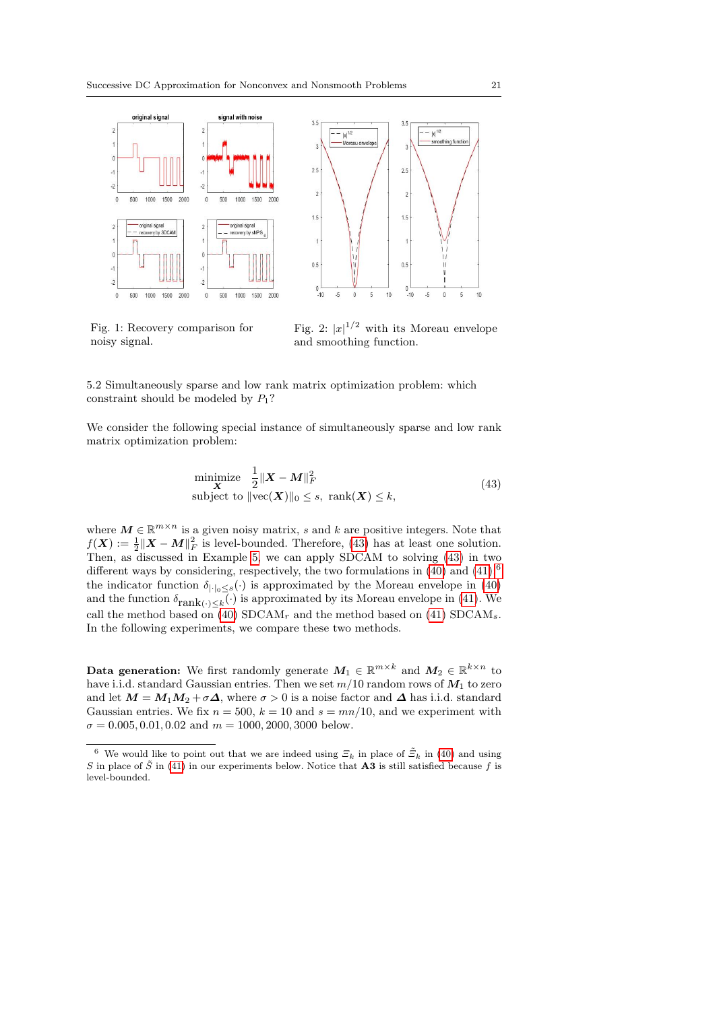<span id="page-20-0"></span>

Fig. 1: Recovery comparison for noisy signal.

<span id="page-20-1"></span>Fig. 2:  $|x|^{1/2}$  with its Moreau envelope and smoothing function.

5.2 Simultaneously sparse and low rank matrix optimization problem: which constraint should be modeled by  $P_1$ ?

We consider the following special instance of simultaneously sparse and low rank matrix optimization problem:

$$
\begin{array}{ll}\text{minimize} & \frac{1}{2} \|\mathbf{X} - \mathbf{M}\|_{F}^{2} \\ \text{subject to } \|\text{vec}(\mathbf{X})\|_{0} \leq s, \text{ } \text{rank}(\mathbf{X}) \leq k, \end{array} \tag{43}
$$

where  $M \in \mathbb{R}^{m \times n}$  is a given noisy matrix, s and k are positive integers. Note that  $f(\boldsymbol{X}) := \frac{1}{2} \|\boldsymbol{X} - \boldsymbol{M}\|_F^2$  is level-bounded. Therefore, [\(43\)](#page-20-1) has at least one solution. Then, as discussed in Example [5,](#page-17-0) we can apply SDCAM to solving [\(43\)](#page-20-1) in two different ways by considering, respectively, the two formulations in  $(40)$  and  $(41)$ :<sup>[6](#page-20-2)</sup> the indicator function  $\delta_{|\cdot|_0 \leq s}(\cdot)$  is approximated by the Moreau envelope in [\(40\)](#page-17-3) and the function  $\delta_{\text{rank}(\cdot) \leq k}(\cdot)$  is approximated by its Moreau envelope in [\(41\)](#page-17-4). We call the method based on [\(40\)](#page-17-3) SDCAM<sub>r</sub> and the method based on [\(41\)](#page-17-4) SDCAM<sub>s</sub>. In the following experiments, we compare these two methods.

Data generation: We first randomly generate  $M_1 \in \mathbb{R}^{m \times k}$  and  $M_2 \in \mathbb{R}^{k \times n}$  to have i.i.d. standard Gaussian entries. Then we set  $m/10$  random rows of  $M_1$  to zero and let  $M = M_1M_2 + \sigma \Delta$ , where  $\sigma > 0$  is a noise factor and  $\Delta$  has i.i.d. standard Gaussian entries. We fix  $n = 500$ ,  $k = 10$  and  $s = mn/10$ , and we experiment with  $\sigma = 0.005, 0.01, 0.02$  and  $m = 1000, 2000, 3000$  below.

<span id="page-20-2"></span><sup>&</sup>lt;sup>6</sup> We would like to point out that we are indeed using  $\mathcal{Z}_k$  in place of  $\tilde{\mathcal{Z}}_k$  in [\(40\)](#page-17-3) and using S in place of  $\tilde{S}$  in [\(41\)](#page-17-4) in our experiments below. Notice that **A3** is still satisfied because f is level-bounded.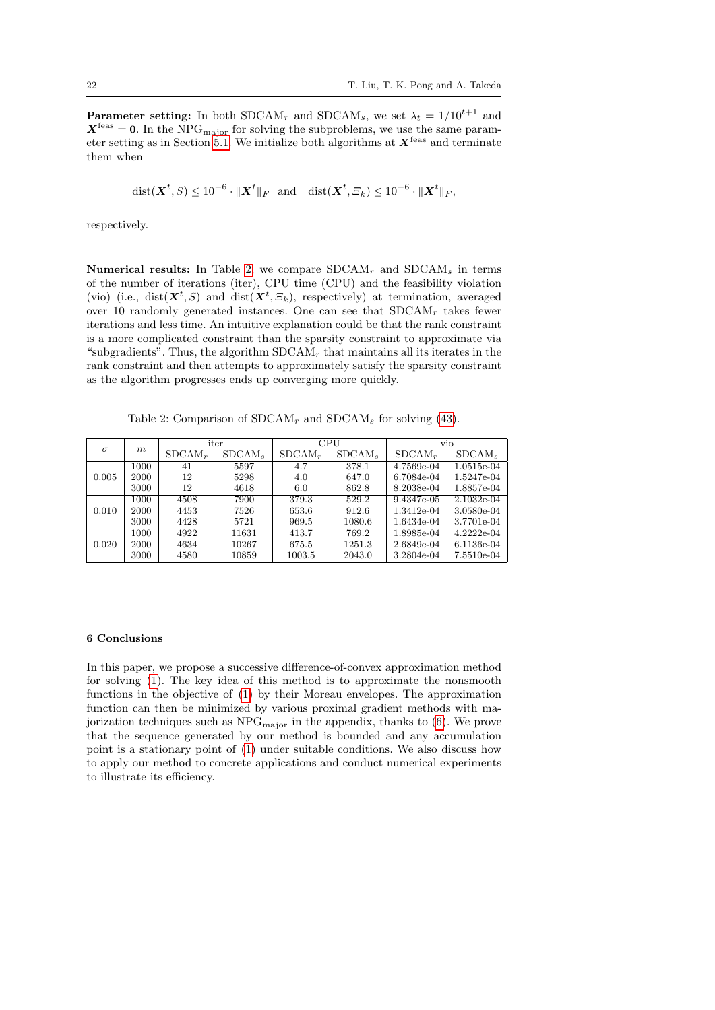**Parameter setting:** In both SDCAM<sub>r</sub> and SDCAM<sub>s</sub>, we set  $\lambda_t = 1/10^{t+1}$  and  $X<sup>feas</sup> = 0$ . In the NPG<sub>major</sub> for solving the subproblems, we use the same param-eter setting as in Section [5.1.](#page-18-1) We initialize both algorithms at  $X<sup>feas</sup>$  and terminate them when

$$
\text{dist}(\boldsymbol{X}^t, S) \le 10^{-6} \cdot \|\boldsymbol{X}^t\|_F \quad \text{and} \quad \text{dist}(\boldsymbol{X}^t, \Xi_k) \le 10^{-6} \cdot \|\boldsymbol{X}^t\|_F,
$$

respectively.

Numerical results: In Table [2,](#page-21-1) we compare  $SDCAM_r$  and  $SDCAM_s$  in terms of the number of iterations (iter), CPU time (CPU) and the feasibility violation (vio) (i.e.,  $dist(\mathbf{X}^t, S)$  and  $dist(\mathbf{X}^t, \Xi_k)$ , respectively) at termination, averaged over 10 randomly generated instances. One can see that  $SDCAM_r$  takes fewer iterations and less time. An intuitive explanation could be that the rank constraint is a more complicated constraint than the sparsity constraint to approximate via "subgradients". Thus, the algorithm  $SDCAM<sub>r</sub>$  that maintains all its iterates in the rank constraint and then attempts to approximately satisfy the sparsity constraint as the algorithm progresses ends up converging more quickly.

Table 2: Comparison of  $SDCAM_r$  and  $SDCAM_s$  for solving [\(43\)](#page-20-1).

<span id="page-21-1"></span>

| $\sigma$ | m    | iter      |           | CPU       |           | vio        |                             |
|----------|------|-----------|-----------|-----------|-----------|------------|-----------------------------|
|          |      | $SDCAM_r$ | $SDCAM_s$ | $SDCAM_r$ | $SDCAM_s$ | $SDCAM_r$  | $\overline{\text{SDCAM}}_s$ |
| 0.005    | 1000 | 41        | 5597      | 4.7       | 378.1     | 4.7569e-04 | 1.0515e-04                  |
|          | 2000 | 12        | 5298      | 4.0       | 647.0     | 6.7084e-04 | 1.5247e-04                  |
|          | 3000 | 12        | 4618      | 6.0       | 862.8     | 8.2038e-04 | 1.8857e-04                  |
| 0.010    | 1000 | 4508      | 7900      | 379.3     | 529.2     | 9.4347e-05 | 2.1032e-04                  |
|          | 2000 | 4453      | 7526      | 653.6     | 912.6     | 1.3412e-04 | 3.0580e-04                  |
|          | 3000 | 4428      | 5721      | 969.5     | 1080.6    | 1.6434e-04 | 3.7701e-04                  |
| 0.020    | 1000 | 4922      | 11631     | 413.7     | 769.2     | 1.8985e-04 | $4.2222e-04$                |
|          | 2000 | 4634      | 10267     | 675.5     | 1251.3    | 2.6849e-04 | 6.1136e-04                  |
|          | 3000 | 4580      | 10859     | 1003.5    | 2043.0    | 3.2804e-04 | 7.5510e-04                  |

#### <span id="page-21-0"></span>6 Conclusions

In this paper, we propose a successive difference-of-convex approximation method for solving [\(1\)](#page-1-0). The key idea of this method is to approximate the nonsmooth functions in the objective of [\(1\)](#page-1-0) by their Moreau envelopes. The approximation function can then be minimized by various proximal gradient methods with majorization techniques such as  $NPG<sub>major</sub>$  in the appendix, thanks to [\(6\)](#page-5-2). We prove that the sequence generated by our method is bounded and any accumulation point is a stationary point of [\(1\)](#page-1-0) under suitable conditions. We also discuss how to apply our method to concrete applications and conduct numerical experiments to illustrate its efficiency.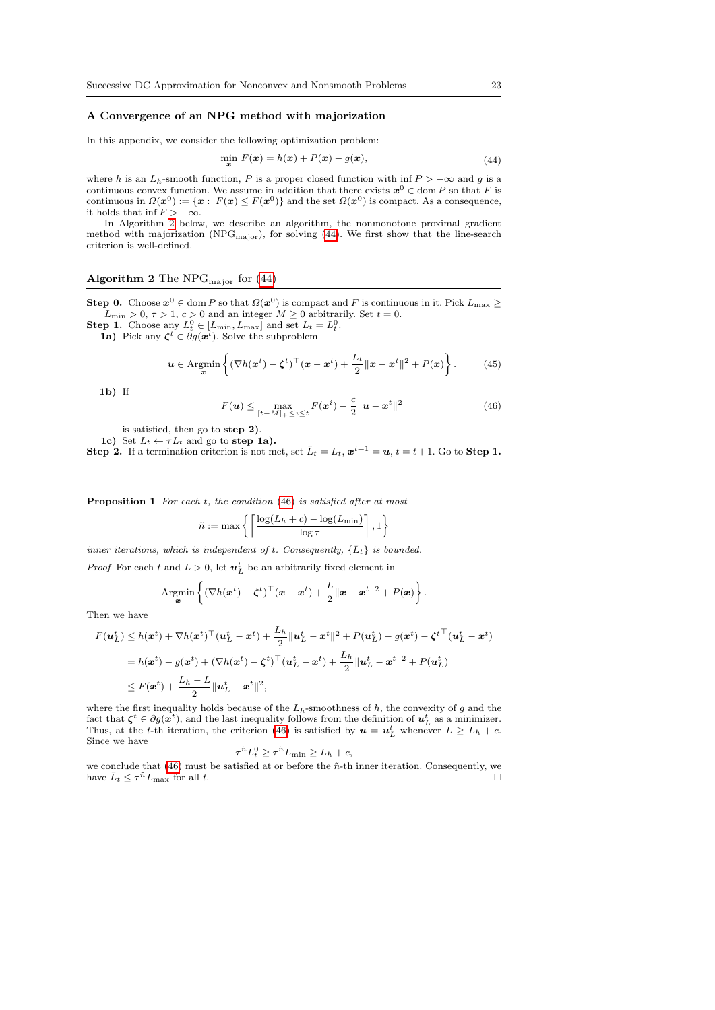#### A Convergence of an NPG method with majorization

In this appendix, we consider the following optimization problem:

<span id="page-22-3"></span>
$$
\min_{\boldsymbol{x}} F(\boldsymbol{x}) = h(\boldsymbol{x}) + P(\boldsymbol{x}) - g(\boldsymbol{x}), \tag{44}
$$

where h is an  $L_h$ -smooth function, P is a proper closed function with inf  $P > -\infty$  and g is a continuous convex function. We assume in addition that there exists  $x^0 \in \text{dom } P$  so that F is continuous in  $\Omega(\mathbf{x}^0) := {\mathbf{x} : F(\mathbf{x}) \leq F(\mathbf{x}^0)}$  and the set  $\Omega(\mathbf{x}^0)$  is compact. As a consequence, it holds that inf  $F > -\infty$ .

In Algorithm [2](#page-22-4) below, we describe an algorithm, the nonmonotone proximal gradient method with majorization ( $NPG<sub>major</sub>$ ), for solving [\(44\)](#page-22-3). We first show that the line-search criterion is well-defined.

## <span id="page-22-4"></span>Algorithm 2 The NPG<sub>major</sub> for  $(44)$

**Step 0.** Choose  $x^0 \in \text{dom } P$  so that  $\Omega(x^0)$  is compact and F is continuous in it. Pick  $L_{\text{max}} \geq$  $L_{\text{min}} > 0, \tau > 1, c > 0$  and an integer  $M \geq 0$  arbitrarily. Set  $t = 0$ .

**Step 1.** Choose any  $L_t^0 \in [L_{\min}, L_{\max}]$  and set  $L_t = L_t^0$ .

**1a**) Pick any  $\zeta^t \in \partial g(x^t)$ . Solve the subproblem

<span id="page-22-1"></span>
$$
\boldsymbol{u} \in \operatorname{Argmin}_{\boldsymbol{x}} \left\{ (\nabla h(\boldsymbol{x}^t) - \boldsymbol{\zeta}^t)^\top (\boldsymbol{x} - \boldsymbol{x}^t) + \frac{L_t}{2} ||\boldsymbol{x} - \boldsymbol{x}^t||^2 + P(\boldsymbol{x}) \right\}.
$$
 (45)

 $1<sub>b</sub>$ ) If

<span id="page-22-0"></span>
$$
F(\boldsymbol{u}) \le \max_{[t-M]_+ \le i \le t} F(\boldsymbol{x}^i) - \frac{c}{2} ||\boldsymbol{u} - \boldsymbol{x}^t||^2
$$
\n(46)

is satisfied, then go to step 2).

1c) Set  $L_t \leftarrow \tau L_t$  and go to step 1a). **Step 2.** If a termination criterion is not met, set  $\bar{L}_t = L_t$ ,  $x^{t+1} = u$ ,  $t = t+1$ . Go to **Step 1.** 

<span id="page-22-2"></span>Proposition 1 For each t, the condition [\(46\)](#page-22-0) is satisfied after at most

$$
\tilde{n} := \max \left\{ \left\lceil \frac{\log(L_h + c) - \log(L_{\min})}{\log \tau} \right\rceil, 1 \right\}
$$

inner iterations, which is independent of t. Consequently,  $\{\bar{L}_t\}$  is bounded.

*Proof* For each t and  $L > 0$ , let  $u<sub>L</sub><sup>t</sup>$  be an arbitrarily fixed element in

Argmin<sub>**x**</sub> 
$$
\left\{ (\nabla h(\mathbf{x}^t) - \boldsymbol{\zeta}^t)^{\top} (\mathbf{x} - \mathbf{x}^t) + \frac{L}{2} ||\mathbf{x} - \mathbf{x}^t||^2 + P(\mathbf{x}) \right\}.
$$

Then we have

$$
F(\boldsymbol{u}_L^t) \leq h(\boldsymbol{x}^t) + \nabla h(\boldsymbol{x}^t)^\top (\boldsymbol{u}_L^t - \boldsymbol{x}^t) + \frac{L_h}{2} ||\boldsymbol{u}_L^t - \boldsymbol{x}^t||^2 + P(\boldsymbol{u}_L^t) - g(\boldsymbol{x}^t) - \zeta^{t\top} (\boldsymbol{u}_L^t - \boldsymbol{x}^t)
$$
  
\n
$$
= h(\boldsymbol{x}^t) - g(\boldsymbol{x}^t) + (\nabla h(\boldsymbol{x}^t) - \zeta^t)^\top (\boldsymbol{u}_L^t - \boldsymbol{x}^t) + \frac{L_h}{2} ||\boldsymbol{u}_L^t - \boldsymbol{x}^t||^2 + P(\boldsymbol{u}_L^t)
$$
  
\n
$$
\leq F(\boldsymbol{x}^t) + \frac{L_h - L}{2} ||\boldsymbol{u}_L^t - \boldsymbol{x}^t||^2,
$$

where the first inequality holds because of the  $L_h$ -smoothness of h, the convexity of g and the fact that  $\zeta^t \in \partial g(x^t)$ , and the last inequality follows from the definition of  $u^t_L$  as a minimizer. Thus, at the t-th iteration, the criterion [\(46\)](#page-22-0) is satisfied by  $u = u<sub>L</sub><sup>t</sup>$  whenever  $L \ge L<sub>h</sub> + c$ . Since we have τ

$$
{}^{\tilde{n}}L_t^0 \ge \tau^{\tilde{n}}L_{\min} \ge L_h + c,
$$

we conclude that  $(46)$  must be satisfied at or before the  $\tilde{n}$ -th inner iteration. Consequently, we have  $\bar{L}_t \leq \tau^n L_{\text{max}}$  for all t.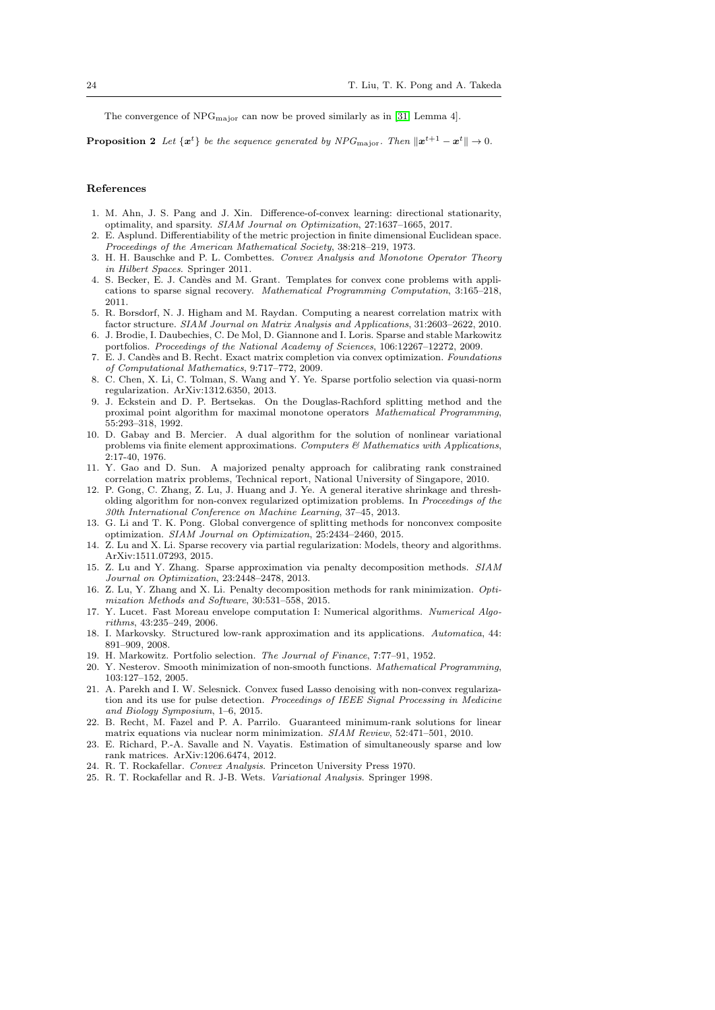The convergence of  $NPG<sub>major</sub>$  can now be proved similarly as in [\[31,](#page-24-7) Lemma 4].

<span id="page-23-14"></span>**Proposition 2** Let  $\{x^t\}$  be the sequence generated by NPG<sub>major</sub>. Then  $\|x^{t+1} - x^t\| \to 0$ .

### References

- <span id="page-23-20"></span>1. M. Ahn, J. S. Pang and J. Xin. Difference-of-convex learning: directional stationarity, optimality, and sparsity. SIAM Journal on Optimization, 27:1637–1665, 2017.
- <span id="page-23-10"></span>2. E. Asplund. Differentiability of the metric projection in finite dimensional Euclidean space. Proceedings of the American Mathematical Society, 38:218–219, 1973.
- <span id="page-23-7"></span>3. H. H. Bauschke and P. L. Combettes. Convex Analysis and Monotone Operator Theory in Hilbert Spaces. Springer 2011.
- <span id="page-23-9"></span>4. S. Becker, E. J. Cand`es and M. Grant. Templates for convex cone problems with applications to sparse signal recovery. Mathematical Programming Computation, 3:165–218, 2011.
- <span id="page-23-23"></span>5. R. Borsdorf, N. J. Higham and M. Raydan. Computing a nearest correlation matrix with factor structure. SIAM Journal on Matrix Analysis and Applications, 31:2603–2622, 2010.
- <span id="page-23-16"></span>6. J. Brodie, I. Daubechies, C. De Mol, D. Giannone and I. Loris. Sparse and stable Markowitz portfolios. Proceedings of the National Academy of Sciences, 106:12267–12272, 2009.
- <span id="page-23-21"></span>7. E. J. Cand`es and B. Recht. Exact matrix completion via convex optimization. Foundations of Computational Mathematics, 9:717–772, 2009.
- <span id="page-23-17"></span>8. C. Chen, X. Li, C. Tolman, S. Wang and Y. Ye. Sparse portfolio selection via quasi-norm regularization. ArXiv:1312.6350, 2013.
- <span id="page-23-3"></span>9. J. Eckstein and D. P. Bertsekas. On the Douglas-Rachford splitting method and the proximal point algorithm for maximal monotone operators Mathematical Programming, 55:293–318, 1992.
- <span id="page-23-4"></span>10. D. Gabay and B. Mercier. A dual algorithm for the solution of nonlinear variational problems via finite element approximations. Computers  $\mathcal{B}$  Mathematics with Applications, 2:17-40, 1976.
- <span id="page-23-24"></span>11. Y. Gao and D. Sun. A majorized penalty approach for calibrating rank constrained correlation matrix problems, Technical report, National University of Singapore, 2010.
- <span id="page-23-19"></span>12. P. Gong, C. Zhang, Z. Lu, J. Huang and J. Ye. A general iterative shrinkage and thresholding algorithm for non-convex regularized optimization problems. In Proceedings of the 30th International Conference on Machine Learning, 37–45, 2013.
- <span id="page-23-5"></span>13. G. Li and T. K. Pong. Global convergence of splitting methods for nonconvex composite optimization. SIAM Journal on Optimization, 25:2434–2460, 2015.
- <span id="page-23-18"></span>14. Z. Lu and X. Li. Sparse recovery via partial regularization: Models, theory and algorithms. ArXiv:1511.07293, 2015.
- <span id="page-23-13"></span>15. Z. Lu and Y. Zhang. Sparse approximation via penalty decomposition methods. SIAM Journal on Optimization, 23:2448–2478, 2013.
- <span id="page-23-25"></span>16. Z. Lu, Y. Zhang and X. Li. Penalty decomposition methods for rank minimization. Optimization Methods and Software, 30:531–558, 2015.
- <span id="page-23-11"></span>17. Y. Lucet. Fast Moreau envelope computation I: Numerical algorithms. Numerical Algorithms, 43:235–249, 2006.
- <span id="page-23-0"></span>18. I. Markovsky. Structured low-rank approximation and its applications. Automatica, 44: 891–909, 2008.
- <span id="page-23-15"></span>19. H. Markowitz. Portfolio selection. The Journal of Finance, 7:77–91, 1952.
- <span id="page-23-8"></span>20. Y. Nesterov. Smooth minimization of non-smooth functions. Mathematical Programming, 103:127–152, 2005.
- <span id="page-23-1"></span>21. A. Parekh and I. W. Selesnick. Convex fused Lasso denoising with non-convex regularization and its use for pulse detection. Proceedings of IEEE Signal Processing in Medicine and Biology Symposium, 1–6, 2015.
- <span id="page-23-22"></span>22. B. Recht, M. Fazel and P. A. Parrilo. Guaranteed minimum-rank solutions for linear matrix equations via nuclear norm minimization. SIAM Review, 52:471–501, 2010.
- <span id="page-23-2"></span>23. E. Richard, P.-A. Savalle and N. Vayatis. Estimation of simultaneously sparse and low rank matrices. ArXiv:1206.6474, 2012.
- <span id="page-23-12"></span>24. R. T. Rockafellar. Convex Analysis. Princeton University Press 1970.
- <span id="page-23-6"></span>25. R. T. Rockafellar and R. J-B. Wets. Variational Analysis. Springer 1998.